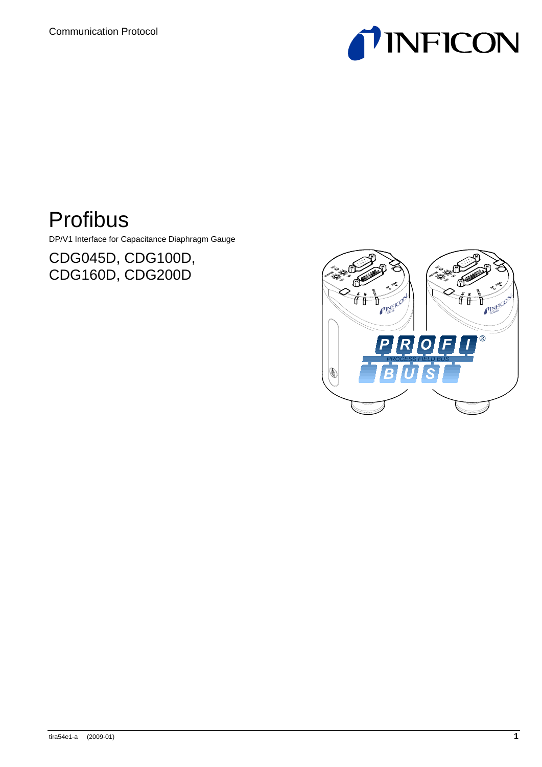

# Profibus

DP/V1 Interface for Capacitance Diaphragm Gauge

CDG045D, CDG100D, CDG160D, CDG200D

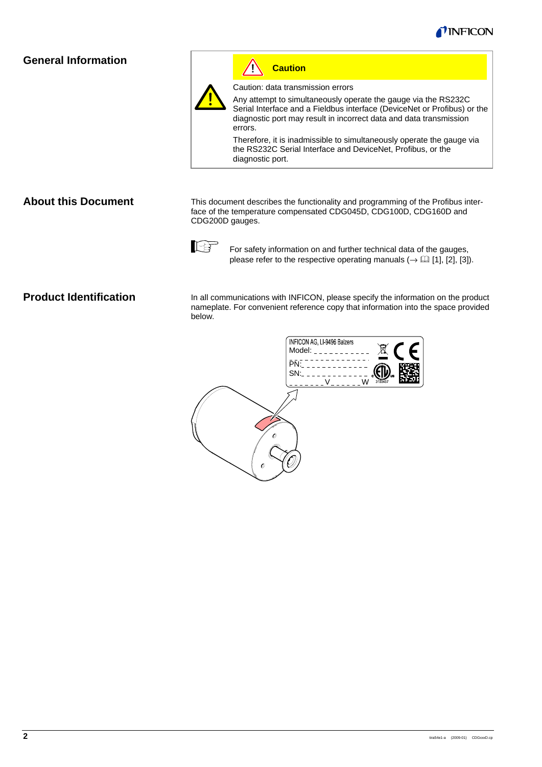

# **General Information**



Ţ **Caution**

Caution: data transmission errors

Any attempt to simultaneously operate the gauge via the RS232C Serial Interface and a Fieldbus interface (DeviceNet or Profibus) or the diagnostic port may result in incorrect data and data transmission errors.

Therefore, it is inadmissible to simultaneously operate the gauge via the RS232C Serial Interface and DeviceNet, Profibus, or the diagnostic port.

This document describes the functionality and programming of the Profibus interface of the temperature compensated CDG045D, CDG100D, CDG160D and CDG200D gauges.



For safety information on and further technical data of the gauges, please refer to the respective operating manuals  $(\rightarrow \Box$  [1], [2], [3]).

### **Product Identification**

**About this Document** 

In all communications with INFICON, please specify the information on the product nameplate. For convenient reference copy that information into the space provided below.

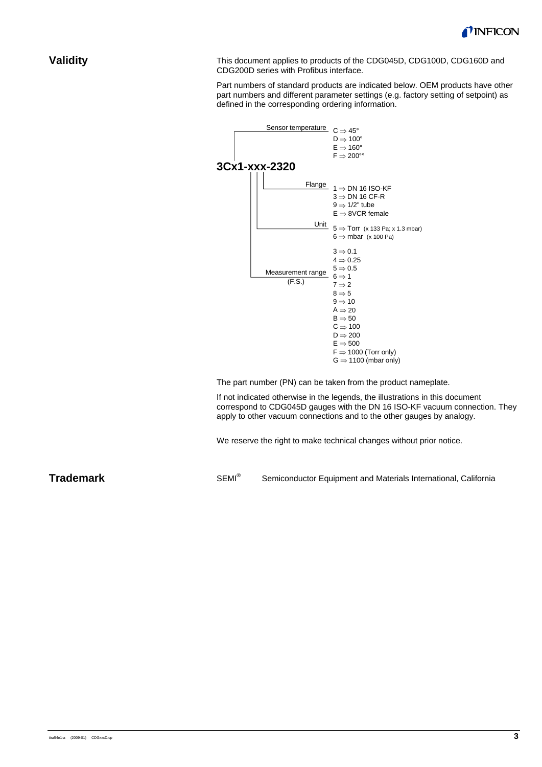

### **Validity**

This document applies to products of the CDG045D, CDG100D, CDG160D and CDG200D series with Profibus interface.

Part numbers of standard products are indicated below. OEM products have other part numbers and different parameter settings (e.g. factory setting of setpoint) as defined in the corresponding ordering information.



The part number (PN) can be taken from the product nameplate.

If not indicated otherwise in the legends, the illustrations in this document correspond to CDG045D gauges with the DN 16 ISO-KF vacuum connection. They apply to other vacuum connections and to the other gauges by analogy.

We reserve the right to make technical changes without prior notice.

**Trademark** 

SEMI® Semiconductor Equipment and Materials International, California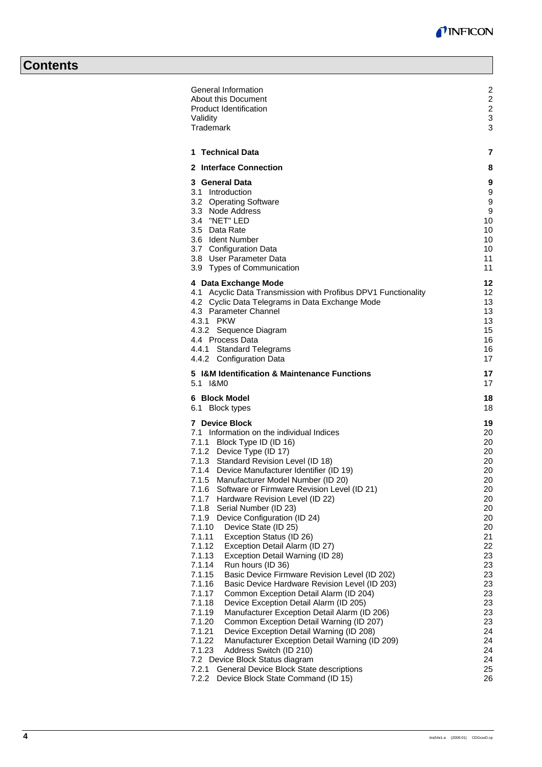# **Contents**

| About this Document<br><b>Product Identification</b>                                                              |  |
|-------------------------------------------------------------------------------------------------------------------|--|
| Validity                                                                                                          |  |
| <b>Trademark</b>                                                                                                  |  |
| <b>Technical Data</b><br>1                                                                                        |  |
| 2 Interface Connection                                                                                            |  |
| 3 General Data<br>3.1 Introduction                                                                                |  |
| 3.2 Operating Software                                                                                            |  |
| 3.3 Node Address                                                                                                  |  |
| 3.4 "NET" LED<br>3.5 Data Rate                                                                                    |  |
| 3.6 Ident Number                                                                                                  |  |
| 3.7 Configuration Data                                                                                            |  |
| 3.8 User Parameter Data                                                                                           |  |
| 3.9 Types of Communication                                                                                        |  |
| 4 Data Exchange Mode                                                                                              |  |
| 4.1 Acyclic Data Transmission with Profibus DPV1 Functionality<br>4.2 Cyclic Data Telegrams in Data Exchange Mode |  |
| 4.3 Parameter Channel                                                                                             |  |
| 4.3.1 PKW                                                                                                         |  |
| 4.3.2 Sequence Diagram<br>4.4 Process Data                                                                        |  |
| 4.4.1 Standard Telegrams                                                                                          |  |
| 4.4.2 Configuration Data                                                                                          |  |
| 5 I&M Identification & Maintenance Functions<br>5.1 I&M0                                                          |  |
| 6 Block Model                                                                                                     |  |
| 6.1 Block types                                                                                                   |  |
| <b>7</b> Device Block                                                                                             |  |
| 7.1 Information on the individual Indices                                                                         |  |
| 7.1.1 Block Type ID (ID 16)<br>7.1.2 Device Type (ID 17)                                                          |  |
| 7.1.3 Standard Revision Level (ID 18)                                                                             |  |
| 7.1.4 Device Manufacturer Identifier (ID 19)                                                                      |  |
| 7.1.5<br>Manufacturer Model Number (ID 20)<br>Software or Firmware Revision Level (ID 21)<br>7.1.6                |  |
| 7.1.7<br>Hardware Revision Level (ID 22)                                                                          |  |
| 7.1.8<br>Serial Number (ID 23)                                                                                    |  |
| 7.1.9<br>Device Configuration (ID 24)<br>7.1.10<br>Device State (ID 25)                                           |  |
| 7.1.11<br>Exception Status (ID 26)                                                                                |  |
| 7.1.12<br>Exception Detail Alarm (ID 27)                                                                          |  |
| 7.1.13<br>Exception Detail Warning (ID 28)                                                                        |  |
| 7.1.14<br>Run hours (ID 36)<br>Basic Device Firmware Revision Level (ID 202)<br>7.1.15                            |  |
| 7.1.16<br>Basic Device Hardware Revision Level (ID 203)                                                           |  |
| 7.1.17<br>Common Exception Detail Alarm (ID 204)                                                                  |  |
| Device Exception Detail Alarm (ID 205)<br>7.1.18<br>7.1.19<br>Manufacturer Exception Detail Alarm (ID 206)        |  |
| 7.1.20<br>Common Exception Detail Warning (ID 207)                                                                |  |
| 7.1.21<br>Device Exception Detail Warning (ID 208)                                                                |  |
| 7.1.22<br>Manufacturer Exception Detail Warning (ID 209)                                                          |  |
| 7.1.23<br>Address Switch (ID 210)<br>7.2 Device Block Status diagram                                              |  |
| General Device Block State descriptions<br>7.2.1                                                                  |  |
| 7.2.2<br>Device Block State Command (ID 15)                                                                       |  |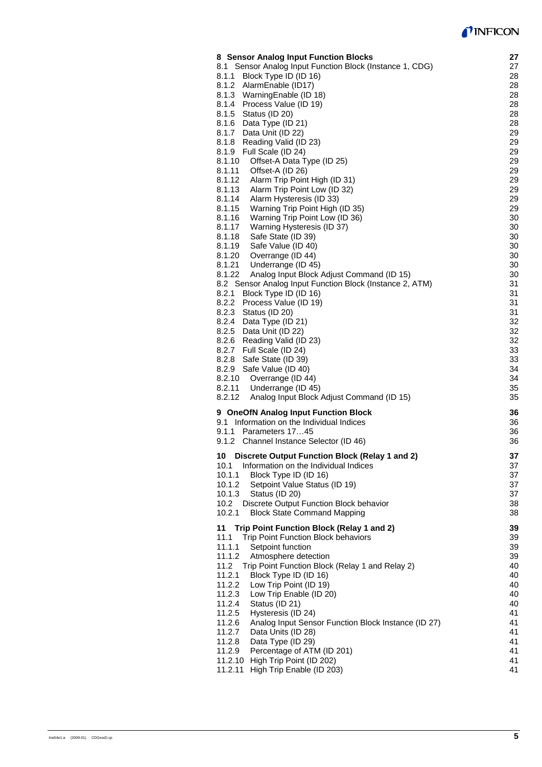# *I* INFICON

| 8 Sensor Analog Input Function Blocks                         | 27 |
|---------------------------------------------------------------|----|
| 8.1 Sensor Analog Input Function Block (Instance 1, CDG)      |    |
|                                                               | 27 |
| 8.1.1<br>Block Type ID (ID 16)                                | 28 |
| 8.1.2 AlarmEnable (ID17)                                      | 28 |
| 8.1.3 Warning Enable (ID 18)                                  | 28 |
| 8.1.4 Process Value (ID 19)                                   | 28 |
| 8.1.5 Status (ID 20)                                          | 28 |
|                                                               |    |
| 8.1.6 Data Type (ID 21)                                       | 28 |
| 8.1.7 Data Unit (ID 22)                                       | 29 |
| Reading Valid (ID 23)<br>8.1.8                                | 29 |
| Full Scale (ID 24)<br>8.1.9                                   | 29 |
| 8.1.10<br>Offset-A Data Type (ID 25)                          | 29 |
|                                                               |    |
| 8.1.11<br>Offset-A (ID 26)                                    | 29 |
| Alarm Trip Point High (ID 31)<br>8.1.12                       | 29 |
| Alarm Trip Point Low (ID 32)<br>8.1.13                        | 29 |
| 8.1.14<br>Alarm Hysteresis (ID 33)                            | 29 |
| Warning Trip Point High (ID 35)<br>8.1.15                     | 29 |
|                                                               |    |
| Warning Trip Point Low (ID 36)<br>8.1.16                      | 30 |
| 8.1.17<br>Warning Hysteresis (ID 37)                          | 30 |
| Safe State (ID 39)<br>8.1.18                                  | 30 |
| Safe Value (ID 40)<br>8.1.19                                  | 30 |
| Overrange (ID 44)<br>8.1.20                                   | 30 |
|                                                               |    |
| 8.1.21<br>Underrange (ID 45)                                  | 30 |
| 8.1.22<br>Analog Input Block Adjust Command (ID 15)           | 30 |
| 8.2 Sensor Analog Input Function Block (Instance 2, ATM)      | 31 |
| 8.2.1<br>Block Type ID (ID 16)                                | 31 |
| 8.2.2 Process Value (ID 19)                                   | 31 |
|                                                               |    |
| 8.2.3 Status (ID 20)                                          | 31 |
| 8.2.4 Data Type (ID 21)                                       | 32 |
| 8.2.5 Data Unit (ID 22)                                       | 32 |
| 8.2.6 Reading Valid (ID 23)                                   | 32 |
| 8.2.7 Full Scale (ID 24)                                      | 33 |
|                                                               |    |
| 8.2.8<br>Safe State (ID 39)                                   | 33 |
| 8.2.9 Safe Value (ID 40)                                      | 34 |
| 8.2.10<br>Overrange (ID 44)                                   | 34 |
| 8.2.11<br>Underrange (ID 45)                                  | 35 |
| 8.2.12<br>Analog Input Block Adjust Command (ID 15)           | 35 |
|                                                               |    |
| 9 OneOfN Analog Input Function Block                          | 36 |
| 9.1 Information on the Individual Indices                     | 36 |
| 9.1.1<br>Parameters 1745                                      |    |
|                                                               | 36 |
| 9.1.2 Channel Instance Selector (ID 46)                       | 36 |
| 10 Discrete Output Function Block (Relay 1 and 2)             | 37 |
|                                                               |    |
| Information on the Individual Indices<br>10.1                 | 37 |
| Block Type ID (ID 16)<br>10.1.1                               | 37 |
| 10.1.2<br>Setpoint Value Status (ID 19)                       | 37 |
| 10.1.3<br>Status (ID 20)                                      | 37 |
| Discrete Output Function Block behavior<br>10.2               | 38 |
|                                                               |    |
| 10.2.1<br><b>Block State Command Mapping</b>                  | 38 |
| Trip Point Function Block (Relay 1 and 2)<br>11               | 39 |
| 11.1                                                          |    |
| Trip Point Function Block behaviors                           | 39 |
| 11.1.1<br>Setpoint function                                   | 39 |
| 11.1.2<br>Atmosphere detection                                | 39 |
| 11.2<br>Trip Point Function Block (Relay 1 and Relay 2)       | 40 |
| 11.2.1<br>Block Type ID (ID 16)                               | 40 |
| 11.2.2<br>Low Trip Point (ID 19)                              | 40 |
|                                                               |    |
| Low Trip Enable (ID 20)<br>11.2.3                             | 40 |
| 11.2.4<br>Status (ID 21)                                      | 40 |
| 11.2.5<br>Hysteresis (ID 24)                                  | 41 |
| Analog Input Sensor Function Block Instance (ID 27)<br>11.2.6 | 41 |
| Data Units (ID 28)<br>11.2.7                                  | 41 |
|                                                               |    |
| 11.2.8<br>Data Type (ID 29)                                   | 41 |
| Percentage of ATM (ID 201)<br>11.2.9                          | 41 |
| 11.2.10 High Trip Point (ID 202)                              | 41 |
| 11.2.11 High Trip Enable (ID 203)                             | 41 |
|                                                               |    |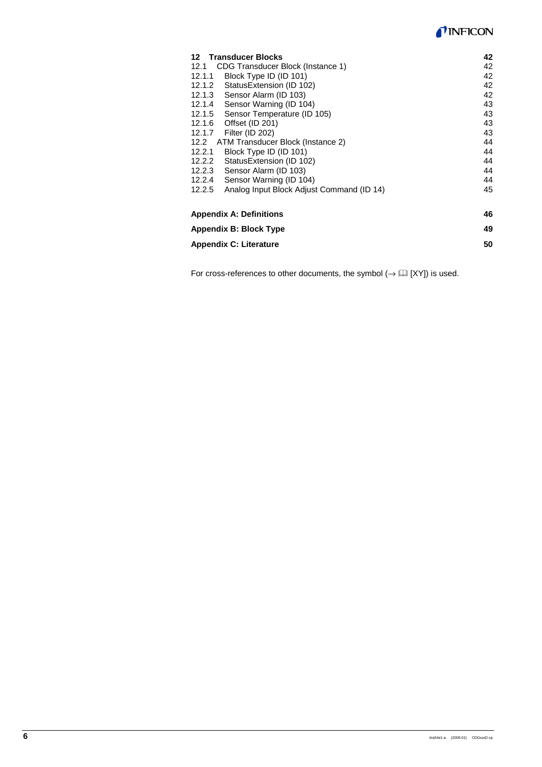# TINFICON

| 12 Transducer Blocks                                |    |  |  |  |  |  |  |
|-----------------------------------------------------|----|--|--|--|--|--|--|
| CDG Transducer Block (Instance 1)<br>12.1           |    |  |  |  |  |  |  |
| Block Type ID (ID 101)<br>12.1.1                    |    |  |  |  |  |  |  |
| Status Extension (ID 102)<br>12.1.2                 | 42 |  |  |  |  |  |  |
| Sensor Alarm (ID 103)<br>12.1.3                     | 42 |  |  |  |  |  |  |
| Sensor Warning (ID 104)<br>12.1.4                   | 43 |  |  |  |  |  |  |
| Sensor Temperature (ID 105)<br>12.1.5               | 43 |  |  |  |  |  |  |
| Offset (ID 201)<br>12.1.6                           | 43 |  |  |  |  |  |  |
| Filter (ID 202)<br>12.1.7                           | 43 |  |  |  |  |  |  |
| ATM Transducer Block (Instance 2)<br>12.2           | 44 |  |  |  |  |  |  |
| Block Type ID (ID 101)<br>12.2.1                    |    |  |  |  |  |  |  |
| StatusExtension (ID 102)<br>12.2.2                  |    |  |  |  |  |  |  |
| Sensor Alarm (ID 103)<br>12.2.3                     |    |  |  |  |  |  |  |
| Sensor Warning (ID 104)<br>12.2.4                   |    |  |  |  |  |  |  |
| Analog Input Block Adjust Command (ID 14)<br>12.2.5 | 45 |  |  |  |  |  |  |
| <b>Appendix A: Definitions</b><br>46                |    |  |  |  |  |  |  |
| Appendix B: Block Type                              |    |  |  |  |  |  |  |
| <b>Appendix C: Literature</b>                       |    |  |  |  |  |  |  |

For cross-references to other documents, the symbol  $(\rightarrow \boxplus$  [XY]) is used.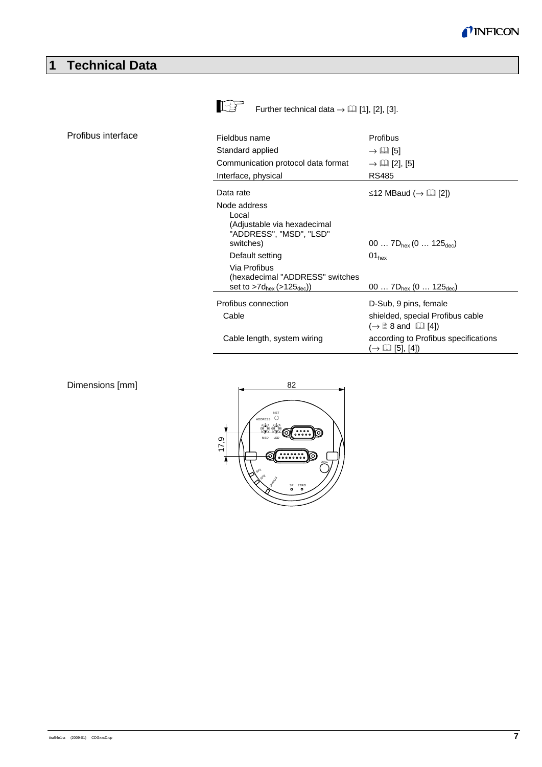

# **1 Technical Data**

Profibus interface



Further technical data  $\rightarrow \Box$  [1], [2], [3].

| Fieldbus name                                                                                | Profibus                                                                    |
|----------------------------------------------------------------------------------------------|-----------------------------------------------------------------------------|
| Standard applied                                                                             | $\rightarrow \Box$ [5]                                                      |
| Communication protocol data format                                                           | $\rightarrow \Box$ [2], [5]                                                 |
| Interface, physical                                                                          | RS485                                                                       |
| Data rate                                                                                    | $\leq$ 12 MBaud ( $\rightarrow$ [1] [2])                                    |
| Node address<br>Local<br>(Adjustable via hexadecimal<br>"ADDRESS", "MSD", "LSD"<br>switches) | 00 $7D_{hex}$ (0 $125_{dec}$ )                                              |
| Default setting                                                                              | $01_{hex}$                                                                  |
| Via Profibus<br>(hexadecimal "ADDRESS" switches<br>set to $>7d_{hex}$ ( $>125_{dec}$ ))      | 00 $7D_{hex}$ (0  125 <sub>dec</sub> )                                      |
| Profibus connection                                                                          | D-Sub, 9 pins, female                                                       |
| Cable                                                                                        | shielded, special Profibus cable<br>$(\rightarrow \Box$ 8 and $[\Box]$ [4]) |
| Cable length, system wiring                                                                  | according to Profibus specifications<br>$(\rightarrow \Box \Box$ [5], [4])  |

### Dimensions [mm]

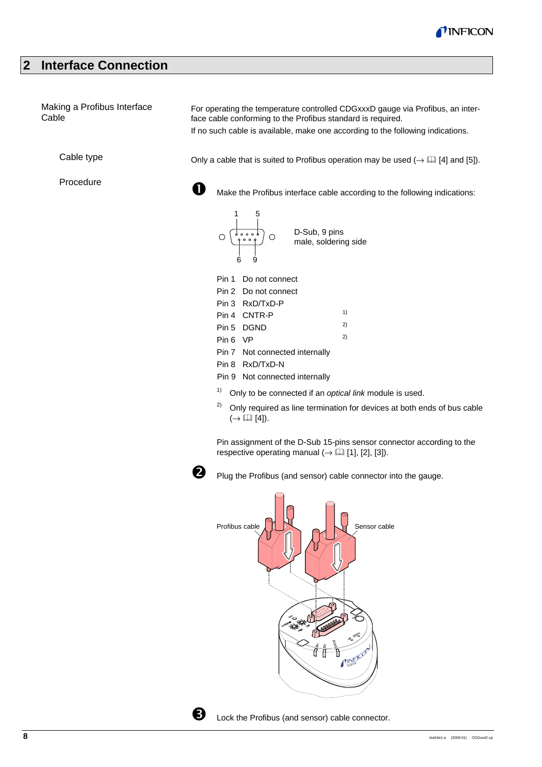

# **2 Interface Connection**

| Making a Profibus Interface<br>Cable | For operating the temperature controlled CDGxxxD gauge via Profibus, an inter-<br>face cable conforming to the Profibus standard is required.<br>If no such cable is available, make one according to the following indications.                                                                                                                                                                                                                                                                            |
|--------------------------------------|-------------------------------------------------------------------------------------------------------------------------------------------------------------------------------------------------------------------------------------------------------------------------------------------------------------------------------------------------------------------------------------------------------------------------------------------------------------------------------------------------------------|
| Cable type                           | Only a cable that is suited to Profibus operation may be used $(\rightarrow \Box \Box$ [4] and [5]).                                                                                                                                                                                                                                                                                                                                                                                                        |
| Procedure                            | Make the Profibus interface cable according to the following indications:                                                                                                                                                                                                                                                                                                                                                                                                                                   |
|                                      | D-Sub, 9 pins<br>male, solderin<br>$\begin{array}{c}\n\mathbf{O} & \mathbf{O} & \mathbf{O} & \mathbf{O} \\ \mathbf{O} & \mathbf{O} & \mathbf{O} & \mathbf{O} \\ \mathbf{O} & \mathbf{O} & \mathbf{O} & \mathbf{O} \\ \mathbf{O} & \mathbf{O} & \mathbf{O} & \mathbf{O} \\ \mathbf{O} & \mathbf{O} & \mathbf{O} & \mathbf{O} \\ \mathbf{O} & \mathbf{O} & \mathbf{O} & \mathbf{O} \\ \mathbf{O} & \mathbf{O} & \mathbf{O} & \mathbf{O} \\ \mathbf{O} & \mathbf{O} & \math$<br>male, soldering side<br>6<br>9 |
|                                      | Do not connect<br>Pin 1                                                                                                                                                                                                                                                                                                                                                                                                                                                                                     |
|                                      | Pin 2 Do not connect                                                                                                                                                                                                                                                                                                                                                                                                                                                                                        |
|                                      | Pin 3 RxD/TxD-P                                                                                                                                                                                                                                                                                                                                                                                                                                                                                             |
|                                      | 1)<br>Pin 4 CNTR-P                                                                                                                                                                                                                                                                                                                                                                                                                                                                                          |
|                                      | 2)<br>Pin 5 DGND                                                                                                                                                                                                                                                                                                                                                                                                                                                                                            |
|                                      | 2)<br>Pin 6 VP                                                                                                                                                                                                                                                                                                                                                                                                                                                                                              |
|                                      | Pin 7 Not connected internally                                                                                                                                                                                                                                                                                                                                                                                                                                                                              |
|                                      | Pin 8 RxD/TxD-N                                                                                                                                                                                                                                                                                                                                                                                                                                                                                             |
|                                      | Pin 9 Not connected internally                                                                                                                                                                                                                                                                                                                                                                                                                                                                              |
|                                      | 1)<br>Only to be connected if an optical link module is used.                                                                                                                                                                                                                                                                                                                                                                                                                                               |
|                                      | 2)<br>Only required as line termination for devices at both ends of bus cable<br>$(\rightarrow \Box \Box$ [4]).                                                                                                                                                                                                                                                                                                                                                                                             |

Pin assignment of the D-Sub 15-pins sensor connector according to the respective operating manual  $(\rightarrow \boxplus [1], [2], [3])$ .



**O** Plug the Profibus (and sensor) cable connector into the gauge.





**b** Lock the Profibus (and sensor) cable connector.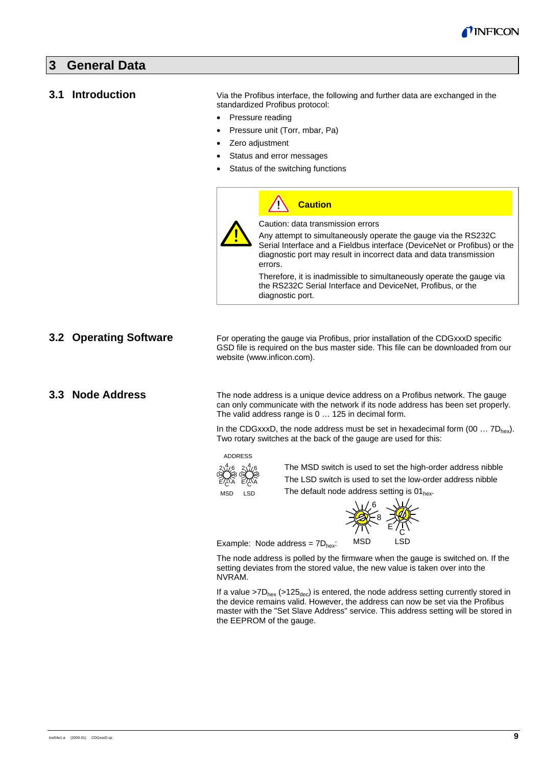

### **3 General Data**

#### **3.1 Introduction**

Via the Profibus interface, the following and further data are exchanged in the standardized Profibus protocol:

- Pressure reading
- Pressure unit (Torr, mbar, Pa)
- Zero adjustment
- Status and error messages
- Status of the switching functions

| <b>Caution</b>                                                                                                                                                                                                              |
|-----------------------------------------------------------------------------------------------------------------------------------------------------------------------------------------------------------------------------|
| Caution: data transmission errors                                                                                                                                                                                           |
| Any attempt to simultaneously operate the gauge via the RS232C<br>Serial Interface and a Fieldbus interface (DeviceNet or Profibus) or the<br>diagnostic port may result in incorrect data and data transmission<br>errors. |
| Therefore, it is inadmissible to simultaneously operate the gauge via<br>the RS232C Serial Interface and DeviceNet, Profibus, or the<br>diagnostic port.                                                                    |

#### **3.2 Operating Software**

For operating the gauge via Profibus, prior installation of the CDGxxxD specific GSD file is required on the bus master side. This file can be downloaded from our website (www.inficon.com).

### **3.3 Node Address**

The node address is a unique device address on a Profibus network. The gauge can only communicate with the network if its node address has been set properly. The valid address range is 0 … 125 in decimal form.

In the CDGxxxD, the node address must be set in hexadecimal form  $(00 \dots 7D_{hex})$ . Two rotary switches at the back of the gauge are used for this:

#### ADDRESS



The MSD switch is used to set the high-order address nibble The LSD switch is used to set the low-order address nibble The default node address setting is  $01_{hex}$ .



Example: Node address =  $7D<sub>hex</sub>$ :

The node address is polled by the firmware when the gauge is switched on. If the setting deviates from the stored value, the new value is taken over into the NVRAM.

If a value  $>7D_{hex}$  ( $>125_{dec}$ ) is entered, the node address setting currently stored in the device remains valid. However, the address can now be set via the Profibus master with the "Set Slave Address" service. This address setting will be stored in the EEPROM of the gauge.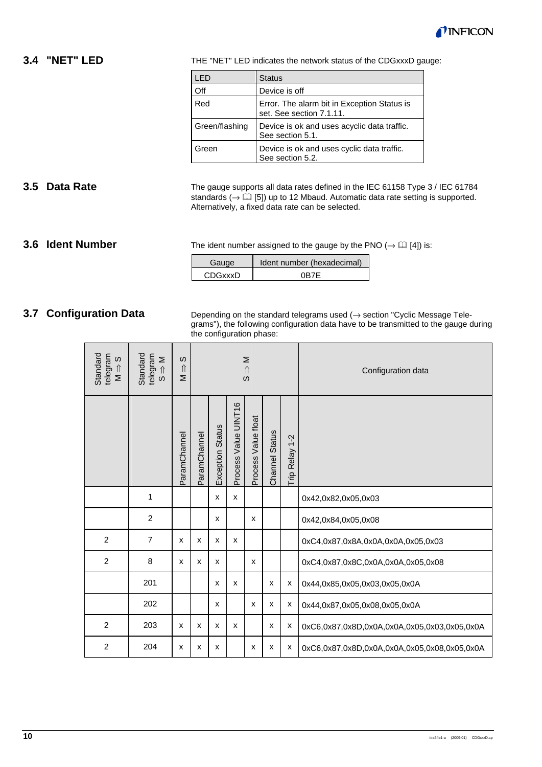

# **3.4 "NET" LED**

THE "NET" LED indicates the network status of the CDGxxxD gauge:

| LED            | <b>Status</b>                                                           |
|----------------|-------------------------------------------------------------------------|
| Off            | Device is off                                                           |
| Red            | Error. The alarm bit in Exception Status is<br>set. See section 7.1.11. |
| Green/flashing | Device is ok and uses acyclic data traffic.<br>See section 5.1.         |
| Green          | Device is ok and uses cyclic data traffic.<br>See section 5.2.          |

# **3.5 Data Rate**

The gauge supports all data rates defined in the IEC 61158 Type 3 / IEC 61784 standards ( $\rightarrow$   $\Box$  [5]) up to 12 Mbaud. Automatic data rate setting is supported. Alternatively, a fixed data rate can be selected.

#### **3.6 Ident Number**

The ident number assigned to the gauge by the PNO  $(\rightarrow \Box$  [4]) is:

| Gauge          | Ident number (hexadecimal) |
|----------------|----------------------------|
| <b>CDGxxxD</b> | 0R7F                       |

### **3.7 Configuration Data**

Depending on the standard telegrams used  $($   $\rightarrow$  section "Cyclic Message Telegrams"), the following configuration data have to be transmitted to the gauge during the configuration phase:

| Standard<br>telegram<br>S<br>$\hat{\Pi}$<br>$\geq$ | Standard<br>telegram<br>Σ<br>$\hat{\mathbb{I}}$<br>$\omega$ | w<br>$\hat{\Pi}$<br>Σ |              | Σ<br>$\hat{\mathbb{I}}$<br><sub>(</sub> |                      |                     |                       |                | Configuration data                           |
|----------------------------------------------------|-------------------------------------------------------------|-----------------------|--------------|-----------------------------------------|----------------------|---------------------|-----------------------|----------------|----------------------------------------------|
|                                                    |                                                             | ParamChannel          | ParamChannel | <b>Exception Status</b>                 | Process Value UINT16 | Process Value float | <b>Channel Status</b> | Trip Relay 1-2 |                                              |
|                                                    | 1                                                           |                       |              | x                                       | x                    |                     |                       |                | 0x42,0x82,0x05,0x03                          |
|                                                    | $\overline{2}$                                              |                       |              | X                                       |                      | X                   |                       |                | 0x42,0x84,0x05,0x08                          |
| $\overline{2}$                                     | 7                                                           | x                     | x            | X                                       | X                    |                     |                       |                | 0xC4,0x87,0x8A,0x0A,0x0A,0x05,0x03           |
| $\overline{2}$                                     | 8                                                           | X                     | x            | X                                       |                      | X                   |                       |                | 0xC4,0x87,0x8C,0x0A,0x0A,0x05,0x08           |
|                                                    | 201                                                         |                       |              | x                                       | x                    |                     | x                     | х              | 0x44,0x85,0x05,0x03,0x05,0x0A                |
|                                                    | 202                                                         |                       |              | X                                       |                      | X                   | X                     | х              | 0x44,0x87,0x05,0x08,0x05,0x0A                |
| $\overline{2}$                                     | 203                                                         | X                     | X            | x                                       | X                    |                     | x                     | x              | 0xC6,0x87,0x8D,0x0A,0x0A,0x05,0x03,0x05,0x0A |
| $\overline{2}$                                     | 204                                                         | X                     | x            | x                                       |                      | X                   | x                     | х              | 0xC6,0x87,0x8D,0x0A,0x0A,0x05,0x08,0x05,0x0A |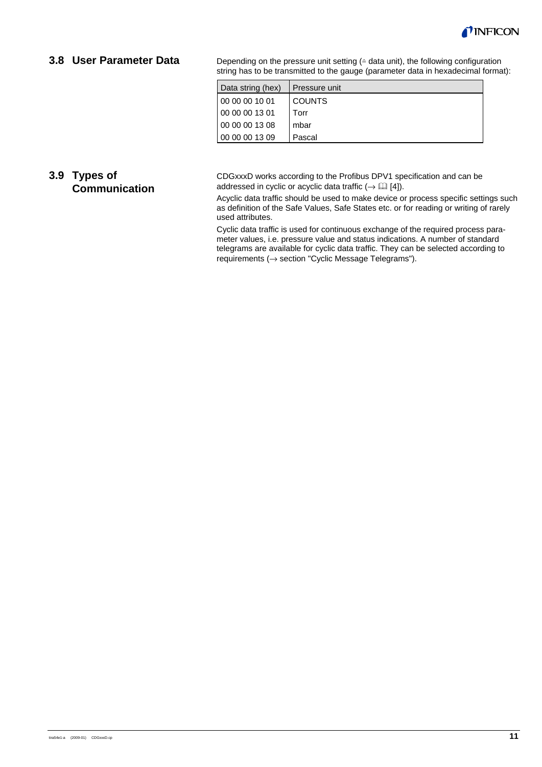

# **3.8 User Parameter Data**

Depending on the pressure unit setting  $($   $\triangleq$  data unit), the following configuration string has to be transmitted to the gauge (parameter data in hexadecimal format):

| Data string (hex) | Pressure unit |
|-------------------|---------------|
| 00 00 00 10 01    | <b>COUNTS</b> |
| 00 00 00 13 01    | Torr          |
| 00 00 00 13 08    | mbar          |
| 00 00 00 13 09    | Pascal        |

# **3.9 Types of Communication**

CDGxxxD works according to the Profibus DPV1 specification and can be addressed in cyclic or acyclic data traffic ( $\rightarrow \Box$  [4]).

Acyclic data traffic should be used to make device or process specific settings such as definition of the Safe Values, Safe States etc. or for reading or writing of rarely used attributes.

Cyclic data traffic is used for continuous exchange of the required process parameter values, i.e. pressure value and status indications. A number of standard telegrams are available for cyclic data traffic. They can be selected according to requirements (→ section "Cyclic Message Telegrams").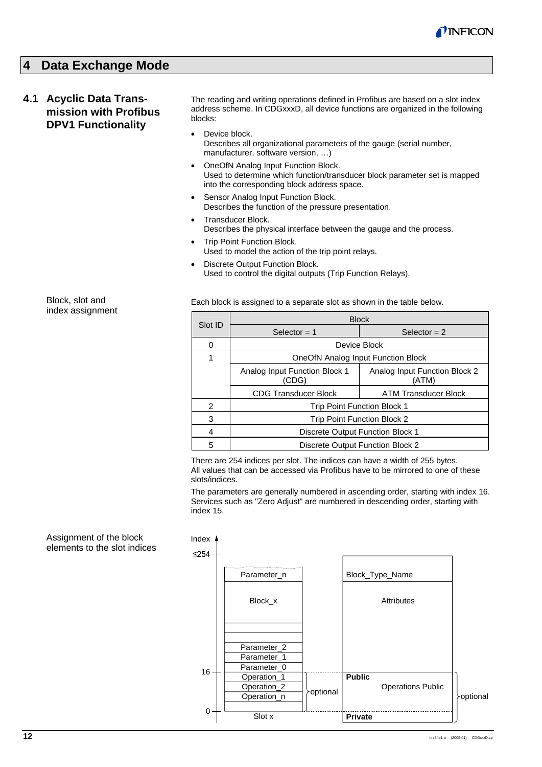

# **4 Data Exchange Mode**

# **4.1 Acyclic Data Transmission with Profibus DPV1 Functionality**

The reading and writing operations defined in Profibus are based on a slot index address scheme. In CDGxxxD, all device functions are organized in the following blocks:

- Device block. Describes all organizational parameters of the gauge (serial number, manufacturer, software version, …)
- OneOfN Analog Input Function Block. Used to determine which function/transducer block parameter set is mapped into the corresponding block address space.
- Sensor Analog Input Function Block. Describes the function of the pressure presentation.
- Transducer Block. Describes the physical interface between the gauge and the process.
- **Trip Point Function Block.** Used to model the action of the trip point relays.
- **Discrete Output Function Block.** Used to control the digital outputs (Trip Function Relays).

Each block is assigned to a separate slot as shown in the table below.

|         | <b>Block</b>                           |                                        |  |  |  |  |  |  |  |  |
|---------|----------------------------------------|----------------------------------------|--|--|--|--|--|--|--|--|
| Slot ID | Selector $= 1$                         | Selector $= 2$                         |  |  |  |  |  |  |  |  |
| 0       |                                        | Device Block                           |  |  |  |  |  |  |  |  |
| 1       | OneOfN Analog Input Function Block     |                                        |  |  |  |  |  |  |  |  |
|         | Analog Input Function Block 1<br>(CDG) | Analog Input Function Block 2<br>(ATM) |  |  |  |  |  |  |  |  |
|         | CDG Transducer Block                   | ATM Transducer Block                   |  |  |  |  |  |  |  |  |
| 2       | Trip Point Function Block 1            |                                        |  |  |  |  |  |  |  |  |
| 3       | Trip Point Function Block 2            |                                        |  |  |  |  |  |  |  |  |
| 4       | Discrete Output Function Block 1       |                                        |  |  |  |  |  |  |  |  |
| 5       | Discrete Output Function Block 2       |                                        |  |  |  |  |  |  |  |  |

There are 254 indices per slot. The indices can have a width of 255 bytes. All values that can be accessed via Profibus have to be mirrored to one of these slots/indices.

The parameters are generally numbered in ascending order, starting with index 16. Services such as "Zero Adjust" are numbered in descending order, starting with index 15.



Block, slot and index assignment

Assignment of the block elements to the slot indices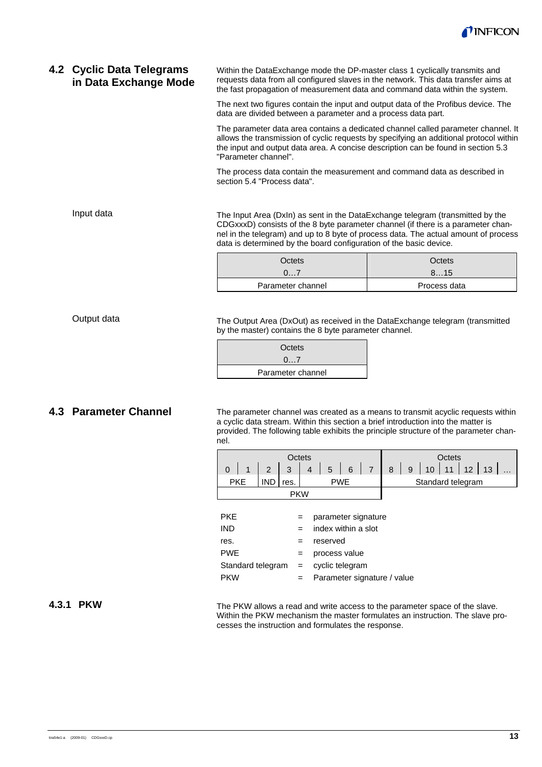

#### Within the DataExchange mode the DP-master class 1 cyclically transmits and requests data from all configured slaves in the network. This data transfer aims at the fast propagation of measurement data and command data within the system. **4.2 Cyclic Data Telegrams in Data Exchange Mode**

The next two figures contain the input and output data of the Profibus device. The data are divided between a parameter and a process data part.

The parameter data area contains a dedicated channel called parameter channel. It allows the transmission of cyclic requests by specifying an additional protocol within the input and output data area. A concise description can be found in section 5.3 "Parameter channel".

The process data contain the measurement and command data as described in section 5.4 "Process data".

The Input Area (DxIn) as sent in the DataExchange telegram (transmitted by the CDGxxxD) consists of the 8 byte parameter channel (if there is a parameter channel in the telegram) and up to 8 byte of process data. The actual amount of process data is determined by the board configuration of the basic device.

| Octets            | Octets       |
|-------------------|--------------|
| 07                | 815          |
| Parameter channel | Process data |

The Output Area (DxOut) as received in the DataExchange telegram (transmitted by the master) contains the 8 byte parameter channel.

| Octets            |
|-------------------|
| 07                |
| Parameter channel |

### **4.3 Parameter Channel**

The parameter channel was created as a means to transmit acyclic requests within a cyclic data stream. Within this section a brief introduction into the matter is provided. The following table exhibits the principle structure of the parameter channel.



| <b>PKE</b>        | $=$ | parameter signature         |
|-------------------|-----|-----------------------------|
| <b>IND</b>        |     | index within a slot         |
| res.              | $=$ | reserved                    |
| <b>PWE</b>        |     | process value               |
| Standard telegram | $=$ | cyclic telegram             |
| <b>PKW</b>        |     | Parameter signature / value |

#### **4.3.1 PKW**

The PKW allows a read and write access to the parameter space of the slave. Within the PKW mechanism the master formulates an instruction. The slave processes the instruction and formulates the response.

#### Output data

Input data

tira54e1-a (2009-01) CDGxxxD.cp **13**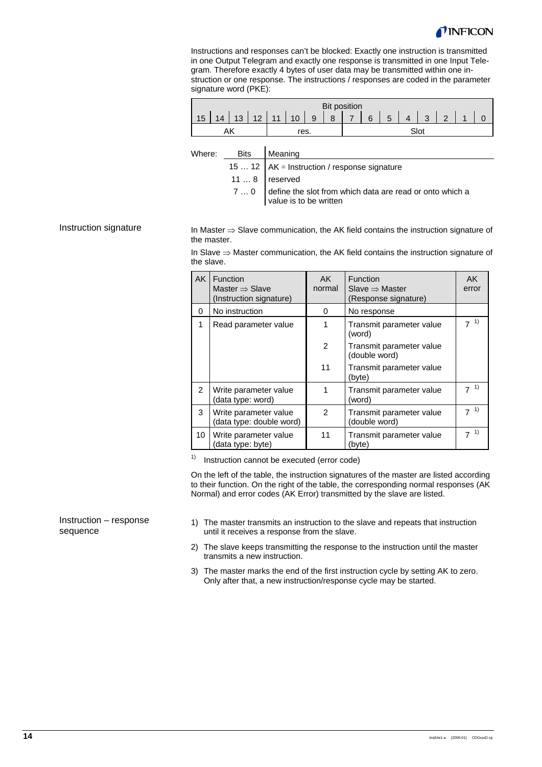

Instructions and responses can't be blocked: Exactly one instruction is transmitted in one Output Telegram and exactly one response is transmitted in one Input Telegram. Therefore exactly 4 bytes of user data may be transmitted within one instruction or one response. The instructions / responses are coded in the parameter signature word (PKE):

|                 |    |  |                                            |  | <b>Bit position</b> |                |  |                                      |  |  |
|-----------------|----|--|--------------------------------------------|--|---------------------|----------------|--|--------------------------------------|--|--|
| 15 <sub>1</sub> | 14 |  | $13 \mid 12 \mid 11 \mid 10 \mid 9 \mid 8$ |  |                     | $\overline{7}$ |  | $6 \mid 5 \mid 4 \mid 3 \mid 2 \mid$ |  |  |
|                 |    |  | res.                                       |  |                     |                |  |                                      |  |  |

| Where: Bits Meaning |                                                                                         |
|---------------------|-----------------------------------------------------------------------------------------|
|                     | 15  12   AK $\triangleq$ Instruction / response signature                               |
|                     | $118$ reserved                                                                          |
|                     | $70$ define the slot from which data are read or onto which a<br>value is to be written |

#### Instruction signature

In Master ⇒ Slave communication, the AK field contains the instruction signature of the master.

In Slave ⇒ Master communication, the AK field contains the instruction signature of the slave.

| <b>AK</b>      | Function<br>Master $\Rightarrow$ Slave<br>(Instruction signature) | AK<br>normal   | Function<br>Slave $\Rightarrow$ Master<br>(Response signature) | AK.<br>error         |
|----------------|-------------------------------------------------------------------|----------------|----------------------------------------------------------------|----------------------|
| 0              | No instruction                                                    | 0              | No response                                                    |                      |
| 1              | Read parameter value                                              | 1              | Transmit parameter value<br>(word)                             | $7^{1}$              |
|                |                                                                   | $\overline{2}$ | Transmit parameter value<br>(double word)                      |                      |
|                |                                                                   | 11             | Transmit parameter value<br>(byte)                             |                      |
| $\overline{2}$ | Write parameter value<br>(data type: word)                        |                | Transmit parameter value<br>(word)                             | 1)<br>$\overline{7}$ |
| 3              | Write parameter value<br>(data type: double word)                 | $\mathcal{P}$  | Transmit parameter value<br>(double word)                      | 1)<br>$\overline{z}$ |
| 10             | Write parameter value<br>data type: byte)                         | 11             | Transmit parameter value<br>(byte)                             | 1)<br>$\overline{7}$ |

 $1)$  Instruction cannot be executed (error code)

On the left of the table, the instruction signatures of the master are listed according to their function. On the right of the table, the corresponding normal responses (AK Normal) and error codes (AK Error) transmitted by the slave are listed.

#### Instruction – response sequence

- 1) The master transmits an instruction to the slave and repeats that instruction until it receives a response from the slave.
- 2) The slave keeps transmitting the response to the instruction until the master transmits a new instruction.
- 3) The master marks the end of the first instruction cycle by setting AK to zero. Only after that, a new instruction/response cycle may be started.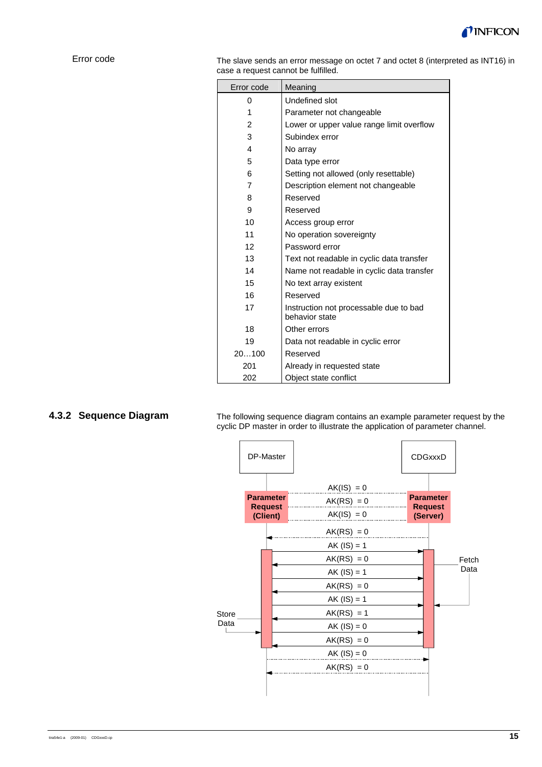

#### Error code

The slave sends an error message on octet 7 and octet 8 (interpreted as INT16) in case a request cannot be fulfilled.

| Error code | Meaning                                                  |
|------------|----------------------------------------------------------|
| 0          | Undefined slot                                           |
| 1          | Parameter not changeable                                 |
| 2          | Lower or upper value range limit overflow                |
| 3          | Subindex error                                           |
| 4          | No array                                                 |
| 5          | Data type error                                          |
| 6          | Setting not allowed (only resettable)                    |
| 7          | Description element not changeable                       |
| 8          | Reserved                                                 |
| 9          | Reserved                                                 |
| 10         | Access group error                                       |
| 11         | No operation sovereignty                                 |
| 12         | Password error                                           |
| 13         | Text not readable in cyclic data transfer                |
| 14         | Name not readable in cyclic data transfer                |
| 15         | No text array existent                                   |
| 16         | Reserved                                                 |
| 17         | Instruction not processable due to bad<br>behavior state |
| 18         | Other errors                                             |
| 19         | Data not readable in cyclic error                        |
| 20100      | Reserved                                                 |
| 201        | Already in requested state                               |
| 202        | Object state conflict                                    |

# **4.3.2 Sequence Diagram**

The following sequence diagram contains an example parameter request by the cyclic DP master in order to illustrate the application of parameter channel.

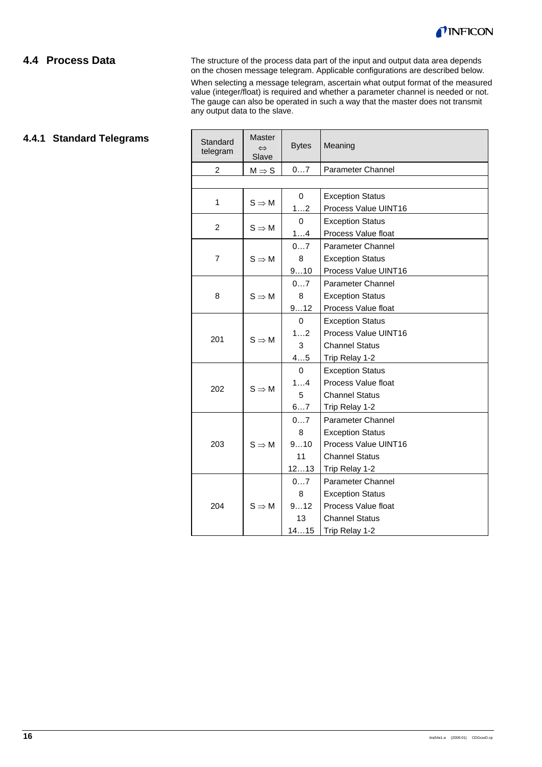

# **4.4 Process Data**

The structure of the process data part of the input and output data area depends on the chosen message telegram. Applicable configurations are described below.

When selecting a message telegram, ascertain what output format of the measured value (integer/float) is required and whether a parameter channel is needed or not. The gauge can also be operated in such a way that the master does not transmit any output data to the slave.

# **4.4.1 Standard Telegrams**

| Standard<br>telegram | Master<br>$\Leftrightarrow$<br>Slave | <b>Bytes</b> | Meaning                  |
|----------------------|--------------------------------------|--------------|--------------------------|
| $\overline{2}$       | $M \Rightarrow S$                    | 07           | Parameter Channel        |
|                      |                                      |              |                          |
| 1                    |                                      | $\mathbf 0$  | <b>Exception Status</b>  |
|                      | $S \Rightarrow M$                    | 12           | Process Value UINT16     |
| $\overline{2}$       |                                      | 0            | <b>Exception Status</b>  |
|                      | $S \Rightarrow M$                    | 14           | Process Value float      |
|                      |                                      | 07           | <b>Parameter Channel</b> |
| $\overline{7}$       | $S \Rightarrow M$                    | 8            | <b>Exception Status</b>  |
|                      |                                      | 910          | Process Value UINT16     |
|                      |                                      | 07           | Parameter Channel        |
| 8                    | $S \Rightarrow M$                    | 8            | <b>Exception Status</b>  |
|                      |                                      | 912          | Process Value float      |
|                      | $S \Rightarrow M$                    | $\mathbf 0$  | <b>Exception Status</b>  |
| 201                  |                                      | 12           | Process Value UINT16     |
|                      |                                      | 3            | <b>Channel Status</b>    |
|                      |                                      | 45           | Trip Relay 1-2           |
|                      | $S \Rightarrow M$                    | $\Omega$     | <b>Exception Status</b>  |
| 202                  |                                      | 14           | Process Value float      |
|                      |                                      | 5            | <b>Channel Status</b>    |
|                      |                                      | 67           | Trip Relay 1-2           |
|                      |                                      | 07           | <b>Parameter Channel</b> |
|                      |                                      | 8            | <b>Exception Status</b>  |
| 203                  | $S \Rightarrow M$                    | 910          | Process Value UINT16     |
|                      |                                      | 11           | <b>Channel Status</b>    |
|                      |                                      | 1213         | Trip Relay 1-2           |
|                      |                                      | 07           | <b>Parameter Channel</b> |
|                      |                                      | 8            | <b>Exception Status</b>  |
| 204                  | $S \Rightarrow M$                    | 912          | Process Value float      |
|                      |                                      | 13           | <b>Channel Status</b>    |
|                      |                                      | 1415         | Trip Relay 1-2           |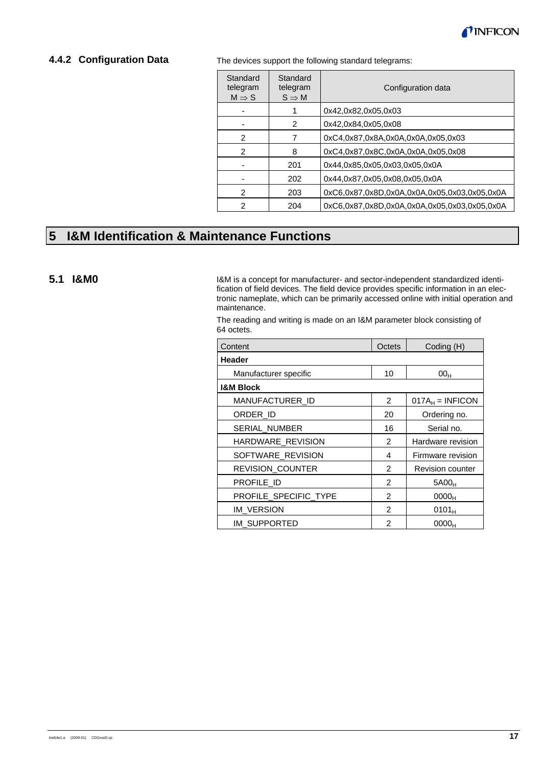

### **4.4.2 Configuration Data**

The devices support the following standard telegrams:

| Standard<br>telegram<br>$M \Rightarrow S$ | Standard<br>telegram<br>$S \Rightarrow M$ | Configuration data                           |
|-------------------------------------------|-------------------------------------------|----------------------------------------------|
|                                           |                                           | 0x42,0x82,0x05,0x03                          |
|                                           | 2                                         | 0x42,0x84,0x05,0x08                          |
| 2                                         | 7                                         | 0xC4,0x87,0x8A,0x0A,0x0A,0x05,0x03           |
| 2                                         | 8                                         | 0xC4,0x87,0x8C,0x0A,0x0A,0x05,0x08           |
|                                           | 201                                       | 0x44,0x85,0x05,0x03,0x05,0x0A                |
|                                           | 202                                       | 0x44,0x87,0x05,0x08,0x05,0x0A                |
| 2                                         | 203                                       | 0xC6.0x87.0x8D.0x0A.0x0A.0x05.0x03.0x05.0x0A |
| 2                                         | 204                                       | 0xC6.0x87.0x8D.0x0A.0x0A.0x05.0x03.0x05.0x0A |

# **5 I&M Identification & Maintenance Functions**

#### **5.1 I&M0**

I&M is a concept for manufacturer- and sector-independent standardized identification of field devices. The field device provides specific information in an electronic nameplate, which can be primarily accessed online with initial operation and maintenance.

The reading and writing is made on an I&M parameter block consisting of 64 octets.

| Content                 | Octets         | Coding (H)              |
|-------------------------|----------------|-------------------------|
| Header                  |                |                         |
| Manufacturer specific   | 10             | 00 <sub>H</sub>         |
| <b>I&amp;M Block</b>    |                |                         |
| MANUFACTURER ID         | $\overline{2}$ | $017A_H = INFICON$      |
| ORDER ID                | 20             | Ordering no.            |
| <b>SERIAL NUMBER</b>    | 16             | Serial no.              |
| HARDWARE_REVISION       | $\mathcal{P}$  | Hardware revision       |
| SOFTWARE_REVISION       | 4              | Firmware revision       |
| <b>REVISION COUNTER</b> | 2              | <b>Revision counter</b> |
| PROFILE ID              | $\mathcal{P}$  | 5A00 <sub>H</sub>       |
| PROFILE_SPECIFIC_TYPE   | $\overline{2}$ | 0000 <sub>H</sub>       |
| IM VERSION              | 2              | $0101_{H}$              |
| IM SUPPORTED            | $\mathfrak{p}$ | 0000 <sub>H</sub>       |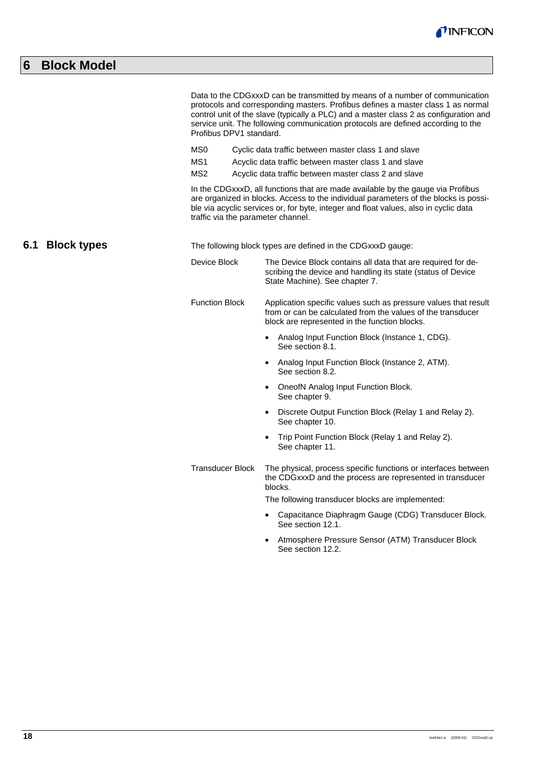

# **6 Block Model**

|                           |  | Profibus DPV1 standard.<br>MS <sub>0</sub><br>MS1           |  | Data to the CDGxxxD can be transmitted by means of a number of communication<br>protocols and corresponding masters. Profibus defines a master class 1 as normal<br>control unit of the slave (typically a PLC) and a master class 2 as configuration and<br>service unit. The following communication protocols are defined according to the<br>Cyclic data traffic between master class 1 and slave<br>Acyclic data traffic between master class 1 and slave |  |  |  |
|---------------------------|--|-------------------------------------------------------------|--|----------------------------------------------------------------------------------------------------------------------------------------------------------------------------------------------------------------------------------------------------------------------------------------------------------------------------------------------------------------------------------------------------------------------------------------------------------------|--|--|--|
|                           |  | MS <sub>2</sub>                                             |  | Acyclic data traffic between master class 2 and slave                                                                                                                                                                                                                                                                                                                                                                                                          |  |  |  |
|                           |  |                                                             |  | In the CDGxxxD, all functions that are made available by the gauge via Profibus<br>are organized in blocks. Access to the individual parameters of the blocks is possi-<br>ble via acyclic services or, for byte, integer and float values, also in cyclic data<br>traffic via the parameter channel.                                                                                                                                                          |  |  |  |
| 6.1<br><b>Block types</b> |  | The following block types are defined in the CDGxxxD gauge: |  |                                                                                                                                                                                                                                                                                                                                                                                                                                                                |  |  |  |
|                           |  | Device Block                                                |  | The Device Block contains all data that are required for de-<br>scribing the device and handling its state (status of Device<br>State Machine). See chapter 7.                                                                                                                                                                                                                                                                                                 |  |  |  |
|                           |  | <b>Function Block</b>                                       |  | Application specific values such as pressure values that result<br>from or can be calculated from the values of the transducer<br>block are represented in the function blocks.                                                                                                                                                                                                                                                                                |  |  |  |
|                           |  |                                                             |  | Analog Input Function Block (Instance 1, CDG).<br>See section 8.1.                                                                                                                                                                                                                                                                                                                                                                                             |  |  |  |
|                           |  |                                                             |  | Analog Input Function Block (Instance 2, ATM).<br>$\bullet$<br>See section 8.2.                                                                                                                                                                                                                                                                                                                                                                                |  |  |  |
|                           |  |                                                             |  | OneofN Analog Input Function Block.<br>$\bullet$<br>See chapter 9.                                                                                                                                                                                                                                                                                                                                                                                             |  |  |  |
|                           |  |                                                             |  | Discrete Output Function Block (Relay 1 and Relay 2).<br>$\bullet$<br>See chapter 10.                                                                                                                                                                                                                                                                                                                                                                          |  |  |  |
|                           |  |                                                             |  | Trip Point Function Block (Relay 1 and Relay 2).<br>$\bullet$<br>See chapter 11.                                                                                                                                                                                                                                                                                                                                                                               |  |  |  |
|                           |  | <b>Transducer Block</b>                                     |  | The physical, process specific functions or interfaces between<br>the CDGxxxD and the process are represented in transducer<br>blocks.                                                                                                                                                                                                                                                                                                                         |  |  |  |
|                           |  |                                                             |  | The following transducer blocks are implemented:                                                                                                                                                                                                                                                                                                                                                                                                               |  |  |  |
|                           |  |                                                             |  | Capacitance Diaphragm Gauge (CDG) Transducer Block.<br>See section 12.1.                                                                                                                                                                                                                                                                                                                                                                                       |  |  |  |
|                           |  |                                                             |  | Atmosphere Pressure Sensor (ATM) Transducer Block<br>See section 12.2.                                                                                                                                                                                                                                                                                                                                                                                         |  |  |  |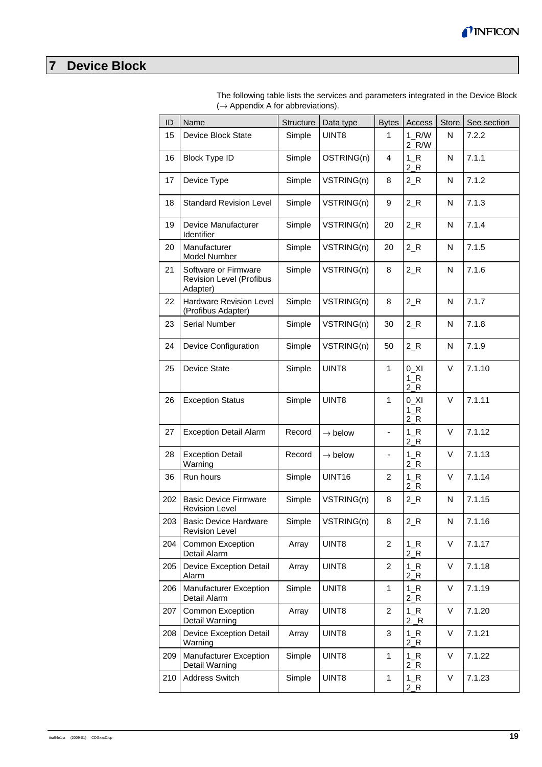

# **7 Device Block**

| ID  | Name                                                         | Structure | Data type             | <b>Bytes</b>             | Access                    | <b>Store</b> | See section |
|-----|--------------------------------------------------------------|-----------|-----------------------|--------------------------|---------------------------|--------------|-------------|
| 15  | Device Block State                                           | Simple    | UINT8                 | 1                        | $1_R/W$<br>$2_R/W$        | N            | 7.2.2       |
| 16  | <b>Block Type ID</b>                                         | Simple    | OSTRING(n)            | 4                        | $1_R$<br>$2_R$            | N            | 7.1.1       |
| 17  | Device Type                                                  | Simple    | VSTRING(n)            | 8                        | $2_R$                     | N            | 7.1.2       |
| 18  | <b>Standard Revision Level</b>                               | Simple    | VSTRING(n)            | 9                        | $2_R$                     | N            | 7.1.3       |
| 19  | Device Manufacturer<br>Identifier                            | Simple    | VSTRING(n)            | 20                       | $2_R$                     | N            | 7.1.4       |
| 20  | Manufacturer<br>Model Number                                 | Simple    | VSTRING(n)            | 20                       | $2_R$                     | N            | 7.1.5       |
| 21  | Software or Firmware<br>Revision Level (Profibus<br>Adapter) | Simple    | VSTRING(n)            | 8                        | $2_R$                     | N            | 7.1.6       |
| 22  | Hardware Revision Level<br>(Profibus Adapter)                | Simple    | VSTRING(n)            | 8                        | $2_R$                     | N            | 7.1.7       |
| 23  | Serial Number                                                | Simple    | VSTRING(n)            | 30                       | $2_R$                     | N            | 7.1.8       |
| 24  | Device Configuration                                         | Simple    | VSTRING(n)            | 50                       | $2_R$                     | N            | 7.1.9       |
| 25  | Device State                                                 | Simple    | UINT8                 | $\mathbf{1}$             | $0$ _XI<br>$1_R$<br>$2_R$ | $\vee$       | 7.1.10      |
| 26  | <b>Exception Status</b>                                      | Simple    | UINT8                 | $\mathbf{1}$             | $0$ _XI<br>$1_R$<br>$2_R$ | $\vee$       | 7.1.11      |
| 27  | <b>Exception Detail Alarm</b>                                | Record    | $\rightarrow$ below   | $\overline{\phantom{a}}$ | $1_R$<br>$2_R$            | $\vee$       | 7.1.12      |
| 28  | <b>Exception Detail</b><br>Warning                           | Record    | $\rightarrow$ below   | $\overline{\phantom{a}}$ | $1_R$<br>$2_R$            | $\vee$       | 7.1.13      |
| 36  | Run hours                                                    | Simple    | UINT16                | 2                        | $1_R$<br>$2_R$            | $\vee$       | 7.1.14      |
| 202 | <b>Basic Device Firmware</b><br><b>Revision Level</b>        | Simple    | VSTRING(n)            | 8                        | $2_R$                     | N            | 7.1.15      |
| 203 | <b>Basic Device Hardware</b><br><b>Revision Level</b>        |           | $Simple$ $VSTRING(n)$ | 8                        | $2_R$                     | N.           | 7.1.16      |
| 204 | Common Exception<br>Detail Alarm                             | Array     | UINT8                 | 2                        | $1_R$<br>$2_R$            | $\vee$       | 7.1.17      |
| 205 | <b>Device Exception Detail</b><br>Alarm                      | Array     | UINT8                 | $\overline{c}$           | $1_R$<br>$2_R$            | V            | 7.1.18      |
| 206 | Manufacturer Exception<br>Detail Alarm                       | Simple    | UNIT <sub>8</sub>     | 1                        | $1_R$<br>$2_R$            | V            | 7.1.19      |
| 207 | Common Exception<br>Detail Warning                           | Array     | UINT8                 | 2                        | $1_R$<br>$2_R$            | V            | 7.1.20      |
| 208 | <b>Device Exception Detail</b><br>Warning                    | Array     | UINT8                 | 3                        | $1_R$<br>$2_R$            | V            | 7.1.21      |
| 209 | Manufacturer Exception<br>Detail Warning                     | Simple    | UINT8                 | 1                        | $1_R$<br>$2_R$            | V            | 7.1.22      |
| 210 | Address Switch                                               | Simple    | UINT8                 | 1                        | $1_R$<br>$2_R$            | V            | 7.1.23      |

The following table lists the services and parameters integrated in the Device Block  $(\rightarrow$  Appendix A for abbreviations).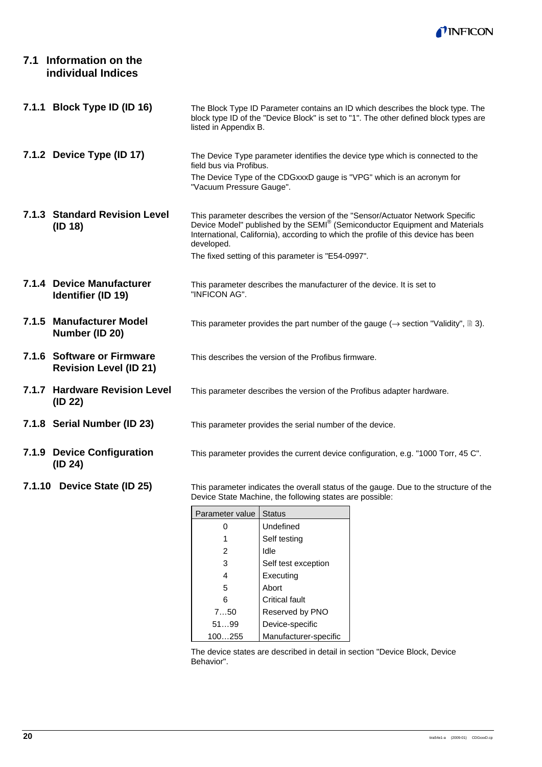

# **7.1 Information on the individual Indices**

| 7.1.1 Block Type ID (ID 16)                                 | The Block Type ID Parameter contains an ID which describes the block type. The<br>block type ID of the "Device Block" is set to "1". The other defined block types are<br>listed in Appendix B.                                                                  |
|-------------------------------------------------------------|------------------------------------------------------------------------------------------------------------------------------------------------------------------------------------------------------------------------------------------------------------------|
| 7.1.2 Device Type (ID 17)                                   | The Device Type parameter identifies the device type which is connected to the<br>field bus via Profibus.                                                                                                                                                        |
|                                                             | The Device Type of the CDGxxxD gauge is "VPG" which is an acronym for<br>"Vacuum Pressure Gauge".                                                                                                                                                                |
| 7.1.3 Standard Revision Level<br>(ID 18)                    | This parameter describes the version of the "Sensor/Actuator Network Specific<br>Device Model" published by the SEMI® (Semiconductor Equipment and Materials<br>International, California), according to which the profile of this device has been<br>developed. |
|                                                             | The fixed setting of this parameter is "E54-0997".                                                                                                                                                                                                               |
| 7.1.4 Device Manufacturer<br>Identifier (ID 19)             | This parameter describes the manufacturer of the device. It is set to<br>"INFICON AG".                                                                                                                                                                           |
| 7.1.5 Manufacturer Model<br>Number (ID 20)                  | This parameter provides the part number of the gauge ( $\rightarrow$ section "Validity", $\cong$ 3).                                                                                                                                                             |
| 7.1.6 Software or Firmware<br><b>Revision Level (ID 21)</b> | This describes the version of the Profibus firmware.                                                                                                                                                                                                             |
| 7.1.7 Hardware Revision Level<br>(ID 22)                    | This parameter describes the version of the Profibus adapter hardware.                                                                                                                                                                                           |
| 7.1.8 Serial Number (ID 23)                                 | This parameter provides the serial number of the device.                                                                                                                                                                                                         |
| 7.1.9 Device Configuration<br>(ID 24)                       | This parameter provides the current device configuration, e.g. "1000 Torr, 45 C".                                                                                                                                                                                |
| 7.1.10 Device State (ID 25)                                 | This parameter indicates the overall status of the gauge. Due to the structure of the<br>Device State Machine, the following states are possible:                                                                                                                |

| Parameter value | <b>Status</b>         |
|-----------------|-----------------------|
| ი               | Undefined             |
| 1               | Self testing          |
| 2               | Idle                  |
| 3               | Self test exception   |
| 4               | Executing             |
| 5               | Abort                 |
| 6               | Critical fault        |
| 750             | Reserved by PNO       |
| 5199            | Device-specific       |
| 100255          | Manufacturer-specific |

The device states are described in detail in section "Device Block, Device Behavior".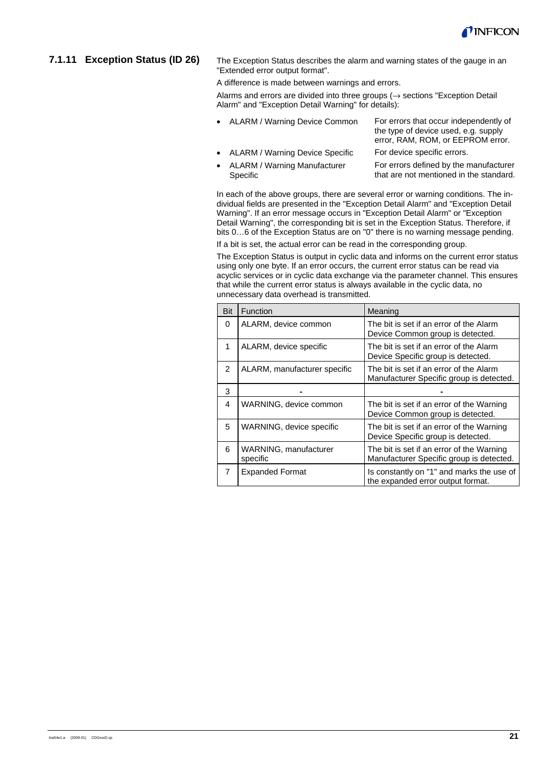

#### **7.1.11 Exception Status (ID 26)**

The Exception Status describes the alarm and warning states of the gauge in an "Extended error output format".

A difference is made between warnings and errors.

Alarms and errors are divided into three groups ( $\rightarrow$  sections "Exception Detail Alarm" and "Exception Detail Warning" for details):

- ALARM / Warning Device Common For errors that occur independently of the type of device used, e.g. supply error, RAM, ROM, or EEPROM error. • ALARM / Warning Device Specific For device specific errors. • ALARM / Warning Manufacturer For errors defined by the manufacturer
	- Specific that are not mentioned in the standard.

In each of the above groups, there are several error or warning conditions. The individual fields are presented in the "Exception Detail Alarm" and "Exception Detail Warning". If an error message occurs in "Exception Detail Alarm" or "Exception Detail Warning", the corresponding bit is set in the Exception Status. Therefore, if bits 0…6 of the Exception Status are on "0" there is no warning message pending.

If a bit is set, the actual error can be read in the corresponding group.

The Exception Status is output in cyclic data and informs on the current error status using only one byte. If an error occurs, the current error status can be read via acyclic services or in cyclic data exchange via the parameter channel. This ensures that while the current error status is always available in the cyclic data, no unnecessary data overhead is transmitted.

| Bit           | Function                          | Meaning                                                                               |
|---------------|-----------------------------------|---------------------------------------------------------------------------------------|
| 0             | ALARM, device common              | The bit is set if an error of the Alarm<br>Device Common group is detected.           |
| 1             | ALARM, device specific            | The bit is set if an error of the Alarm<br>Device Specific group is detected.         |
| $\mathcal{P}$ | ALARM, manufacturer specific      | The bit is set if an error of the Alarm<br>Manufacturer Specific group is detected.   |
| 3             |                                   |                                                                                       |
| 4             | WARNING, device common            | The bit is set if an error of the Warning<br>Device Common group is detected.         |
| 5             | WARNING, device specific          | The bit is set if an error of the Warning<br>Device Specific group is detected.       |
| 6             | WARNING, manufacturer<br>specific | The bit is set if an error of the Warning<br>Manufacturer Specific group is detected. |
| 7             | <b>Expanded Format</b>            | Is constantly on "1" and marks the use of<br>the expanded error output format.        |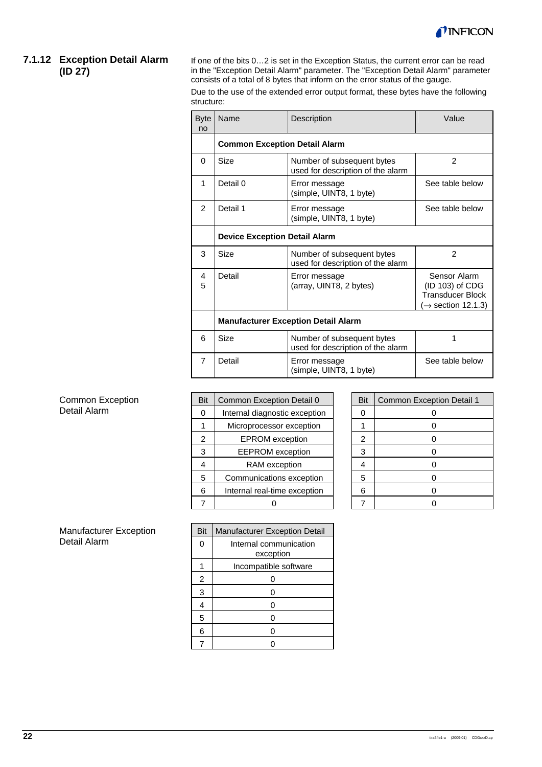

#### **7.1.12 Exception Detail Alarm (ID 27)**

If one of the bits 0…2 is set in the Exception Status, the current error can be read in the "Exception Detail Alarm" parameter. The "Exception Detail Alarm" parameter consists of a total of 8 bytes that inform on the error status of the gauge.

Due to the use of the extended error output format, these bytes have the following structure:

| <b>Byte</b><br>no | Name                                       | Description                                                     | Value                                                                                       |  |
|-------------------|--------------------------------------------|-----------------------------------------------------------------|---------------------------------------------------------------------------------------------|--|
|                   | <b>Common Exception Detail Alarm</b>       |                                                                 |                                                                                             |  |
| $\Omega$          | Size                                       | Number of subsequent bytes<br>used for description of the alarm | $\mathfrak{p}$                                                                              |  |
| 1                 | Detail 0                                   | Error message<br>(simple, UINT8, 1 byte)                        | See table below                                                                             |  |
| $\mathcal{P}$     | Detail 1                                   | Error message<br>(simple, UINT8, 1 byte)                        | See table below                                                                             |  |
|                   | <b>Device Exception Detail Alarm</b>       |                                                                 |                                                                                             |  |
| 3                 | Size                                       | Number of subsequent bytes<br>used for description of the alarm | $\overline{2}$                                                                              |  |
| 4<br>5            | Detail                                     | Error message<br>(array, UINT8, 2 bytes)                        | Sensor Alarm<br>(ID 103) of CDG<br><b>Transducer Block</b><br>$\rightarrow$ section 12.1.3) |  |
|                   | <b>Manufacturer Exception Detail Alarm</b> |                                                                 |                                                                                             |  |
| 6                 | Size                                       | Number of subsequent bytes<br>used for description of the alarm |                                                                                             |  |
| 7                 | Detail                                     | See table below<br>Error message<br>(simple, UINT8, 1 byte)     |                                                                                             |  |

|                | Common Exception Detail 0     | Bit            | Common Exception Detail 1 |
|----------------|-------------------------------|----------------|---------------------------|
| 0              | Internal diagnostic exception | 0              |                           |
|                | Microprocessor exception      |                |                           |
| $\mathfrak{p}$ | <b>EPROM</b> exception        | $\mathfrak{p}$ |                           |
| 3              | <b>EEPROM</b> exception       | 3              |                           |
|                | RAM exception                 |                |                           |
| 5              | Communications exception      | 5              |                           |
| 6              | Internal real-time exception  | 6              |                           |
|                |                               |                |                           |

| Bit            | <b>Common Exception Detail 1</b> |
|----------------|----------------------------------|
| 0              | 0                                |
|                | ი                                |
| $\overline{2}$ | 0                                |
| 3              | 0                                |
|                | ი                                |
| 5              | n                                |
| 6              | 0                                |
|                |                                  |

|   | Bit<br><b>Manufacturer Exception Detail</b> |                                     |  |
|---|---------------------------------------------|-------------------------------------|--|
| 0 |                                             | Internal communication<br>exception |  |
|   |                                             | Incompatible software               |  |
|   | 2                                           |                                     |  |
|   | 3                                           | n                                   |  |
|   | 4                                           | ი                                   |  |
|   | 5                                           | ∩                                   |  |
|   | 6                                           |                                     |  |
|   |                                             |                                     |  |

Common Exception Detail Alarm

Manufacturer Exception Detail Alarm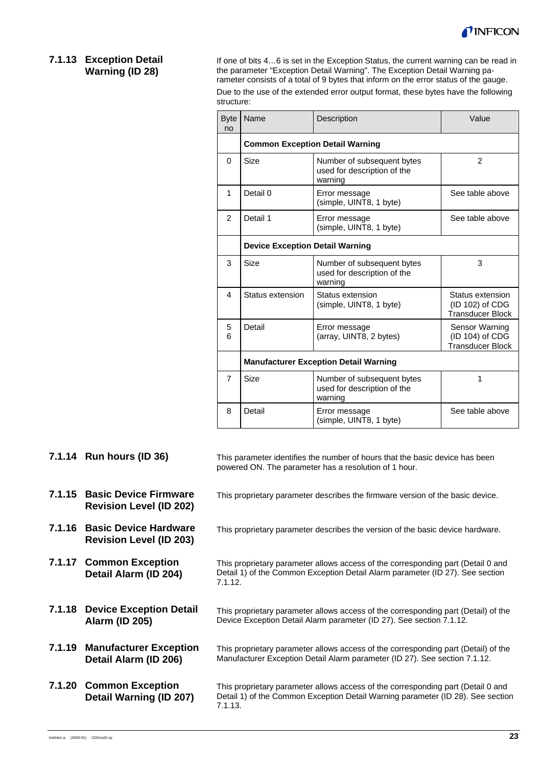

### **7.1.13 Exception Detail Warning (ID 28)**

If one of bits 4…6 is set in the Exception Status, the current warning can be read in the parameter "Exception Detail Warning". The Exception Detail Warning parameter consists of a total of 9 bytes that inform on the error status of the gauge.

Due to the use of the extended error output format, these bytes have the following structure:

| <b>Byte</b><br>no | Name                                         | Description                                                          | Value                                                          |  |  |
|-------------------|----------------------------------------------|----------------------------------------------------------------------|----------------------------------------------------------------|--|--|
|                   | <b>Common Exception Detail Warning</b>       |                                                                      |                                                                |  |  |
| $\Omega$          | Size                                         | Number of subsequent bytes<br>used for description of the<br>warning | $\overline{2}$                                                 |  |  |
| 1                 | Detail 0                                     | Error message<br>(simple, UINT8, 1 byte)                             | See table above                                                |  |  |
| 2                 | Detail 1                                     | Error message<br>(simple, UINT8, 1 byte)                             | See table above                                                |  |  |
|                   | <b>Device Exception Detail Warning</b>       |                                                                      |                                                                |  |  |
| 3                 | Size                                         | Number of subsequent bytes<br>used for description of the<br>warning | 3                                                              |  |  |
| $\overline{4}$    | Status extension                             | Status extension<br>(simple, UINT8, 1 byte)                          | Status extension<br>(ID 102) of CDG<br><b>Transducer Block</b> |  |  |
| 5<br>6            | Detail                                       | Error message<br>(array, UINT8, 2 bytes)                             | Sensor Warning<br>(ID 104) of CDG<br><b>Transducer Block</b>   |  |  |
|                   | <b>Manufacturer Exception Detail Warning</b> |                                                                      |                                                                |  |  |
| $\overline{7}$    | <b>Size</b>                                  | Number of subsequent bytes<br>used for description of the<br>warning | 1                                                              |  |  |
| 8                 | Detail                                       | Error message<br>(simple, UINT8, 1 byte)                             | See table above                                                |  |  |

|        | 7.1.14 Run hours (ID 36)                                       | This parameter identifies the number of hours that the basic device has been<br>powered ON. The parameter has a resolution of 1 hour.                                          |
|--------|----------------------------------------------------------------|--------------------------------------------------------------------------------------------------------------------------------------------------------------------------------|
|        | 7.1.15 Basic Device Firmware<br><b>Revision Level (ID 202)</b> | This proprietary parameter describes the firmware version of the basic device.                                                                                                 |
|        | 7.1.16 Basic Device Hardware<br><b>Revision Level (ID 203)</b> | This proprietary parameter describes the version of the basic device hardware.                                                                                                 |
|        | 7.1.17 Common Exception<br>Detail Alarm (ID 204)               | This proprietary parameter allows access of the corresponding part (Detail 0 and<br>Detail 1) of the Common Exception Detail Alarm parameter (ID 27). See section<br>7.1.12.   |
|        | 7.1.18 Device Exception Detail<br><b>Alarm (ID 205)</b>        | This proprietary parameter allows access of the corresponding part (Detail) of the<br>Device Exception Detail Alarm parameter (ID 27). See section 7.1.12.                     |
|        | 7.1.19 Manufacturer Exception<br>Detail Alarm (ID 206)         | This proprietary parameter allows access of the corresponding part (Detail) of the<br>Manufacturer Exception Detail Alarm parameter (ID 27). See section 7.1.12.               |
| 7.1.20 | <b>Common Exception</b><br>Detail Warning (ID 207)             | This proprietary parameter allows access of the corresponding part (Detail 0 and<br>Detail 1) of the Common Exception Detail Warning parameter (ID 28). See section<br>7.1.13. |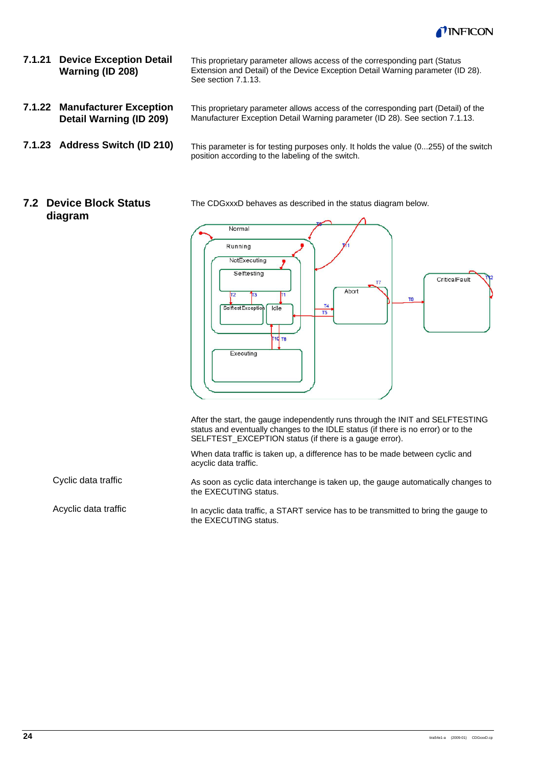

- **7.1.21 Device Exception Detail Warning (ID 208)**
- **7.1.22 Manufacturer Exception Detail Warning (ID 209)**
- **7.1.23 Address Switch (ID 210)**

This proprietary parameter allows access of the corresponding part (Detail) of the Manufacturer Exception Detail Warning parameter (ID 28). See section 7.1.13.

This proprietary parameter allows access of the corresponding part (Status Extension and Detail) of the Device Exception Detail Warning parameter (ID 28).

See section 7.1.13.

This parameter is for testing purposes only. It holds the value (0...255) of the switch position according to the labeling of the switch.

### **7.2 Device Block Status diagram**

Cyclic data traffic

Acyclic data traffic

The CDGxxxD behaves as described in the status diagram below.



After the start, the gauge independently runs through the INIT and SELFTESTING status and eventually changes to the IDLE status (if there is no error) or to the SELFTEST\_EXCEPTION status (if there is a gauge error).

When data traffic is taken up, a difference has to be made between cyclic and acyclic data traffic.

As soon as cyclic data interchange is taken up, the gauge automatically changes to the EXECUTING status.

In acyclic data traffic, a START service has to be transmitted to bring the gauge to the EXECUTING status.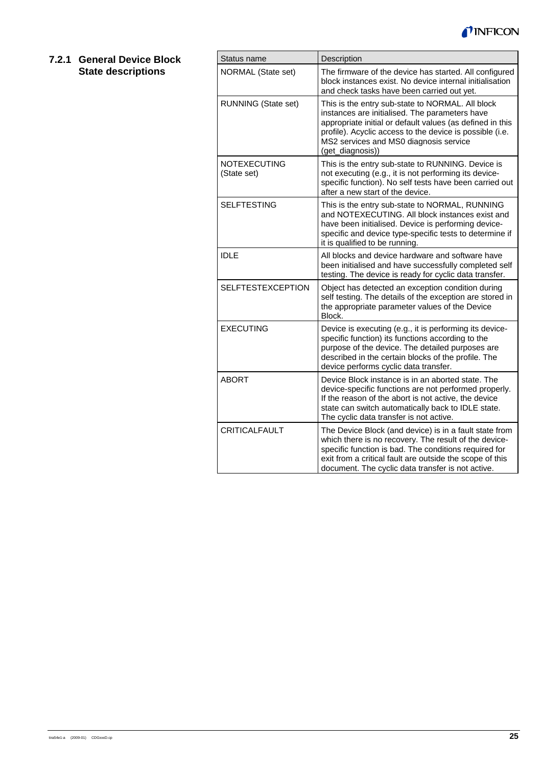

### **7.2.1 General Device Block State descriptions**

| Status name                        | Description                                                                                                                                                                                                                                                                               |
|------------------------------------|-------------------------------------------------------------------------------------------------------------------------------------------------------------------------------------------------------------------------------------------------------------------------------------------|
| NORMAL (State set)                 | The firmware of the device has started. All configured<br>block instances exist. No device internal initialisation<br>and check tasks have been carried out yet.                                                                                                                          |
| <b>RUNNING (State set)</b>         | This is the entry sub-state to NORMAL. All block<br>instances are initialised. The parameters have<br>appropriate initial or default values (as defined in this<br>profile). Acyclic access to the device is possible (i.e.<br>MS2 services and MS0 diagnosis service<br>(get_diagnosis)) |
| <b>NOTEXECUTING</b><br>(State set) | This is the entry sub-state to RUNNING. Device is<br>not executing (e.g., it is not performing its device-<br>specific function). No self tests have been carried out<br>after a new start of the device.                                                                                 |
| <b>SELFTESTING</b>                 | This is the entry sub-state to NORMAL, RUNNING<br>and NOTEXECUTING. All block instances exist and<br>have been initialised. Device is performing device-<br>specific and device type-specific tests to determine if<br>it is qualified to be running.                                     |
| <b>IDLE</b>                        | All blocks and device hardware and software have<br>been initialised and have successfully completed self<br>testing. The device is ready for cyclic data transfer.                                                                                                                       |
| <b>SELFTESTEXCEPTION</b>           | Object has detected an exception condition during<br>self testing. The details of the exception are stored in<br>the appropriate parameter values of the Device<br>Block.                                                                                                                 |
| <b>EXECUTING</b>                   | Device is executing (e.g., it is performing its device-<br>specific function) its functions according to the<br>purpose of the device. The detailed purposes are<br>described in the certain blocks of the profile. The<br>device performs cyclic data transfer.                          |
| <b>ABORT</b>                       | Device Block instance is in an aborted state. The<br>device-specific functions are not performed properly.<br>If the reason of the abort is not active, the device<br>state can switch automatically back to IDLE state.<br>The cyclic data transfer is not active.                       |
| <b>CRITICALFAULT</b>               | The Device Block (and device) is in a fault state from<br>which there is no recovery. The result of the device-<br>specific function is bad. The conditions required for<br>exit from a critical fault are outside the scope of this<br>document. The cyclic data transfer is not active. |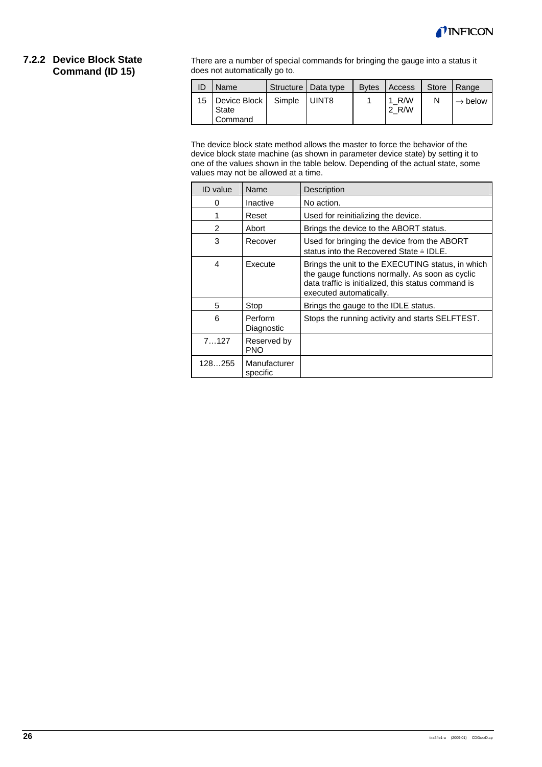

#### **7.2.2 Device Block State Command (ID 15)**

There are a number of special commands for bringing the gauge into a status it does not automatically go to.

| -ID             | Name                             |        | Structure   Data type | <b>B</b> ytes | Access         | Store | Range               |
|-----------------|----------------------------------|--------|-----------------------|---------------|----------------|-------|---------------------|
| 15 <sub>1</sub> | Device Block<br>State<br>Command | Simple | <b>UINT8</b>          |               | 1 R/W<br>2 R/W |       | $\rightarrow$ below |

The device block state method allows the master to force the behavior of the device block state machine (as shown in parameter device state) by setting it to one of the values shown in the table below. Depending of the actual state, some values may not be allowed at a time.

| ID value       | Name                      | Description                                                                                                                                                                            |
|----------------|---------------------------|----------------------------------------------------------------------------------------------------------------------------------------------------------------------------------------|
| O              | Inactive                  | No action.                                                                                                                                                                             |
| 1              | Reset                     | Used for reinitializing the device.                                                                                                                                                    |
| $\mathfrak{p}$ | Abort                     | Brings the device to the ABORT status.                                                                                                                                                 |
| 3              | Recover                   | Used for bringing the device from the ABORT<br>status into the Recovered State ≙ IDLE.                                                                                                 |
| 4              | Execute                   | Brings the unit to the EXECUTING status, in which<br>the gauge functions normally. As soon as cyclic<br>data traffic is initialized, this status command is<br>executed automatically. |
| 5              | Stop                      | Brings the gauge to the IDLE status.                                                                                                                                                   |
| 6              | Perform<br>Diagnostic     | Stops the running activity and starts SELFTEST.                                                                                                                                        |
| 7127           | Reserved by<br><b>PNO</b> |                                                                                                                                                                                        |
| 128255         | Manufacturer<br>specific  |                                                                                                                                                                                        |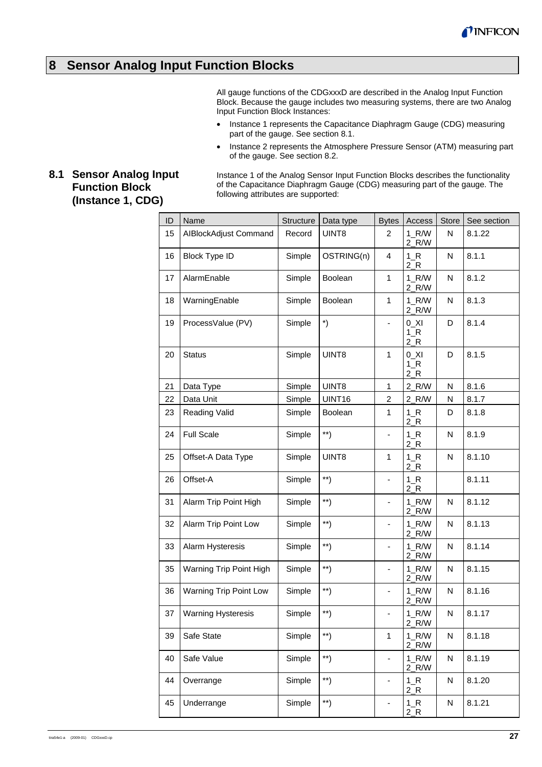

# **8 Sensor Analog Input Function Blocks**

All gauge functions of the CDGxxxD are described in the Analog Input Function Block. Because the gauge includes two measuring systems, there are two Analog Input Function Block Instances:

- Instance 1 represents the Capacitance Diaphragm Gauge (CDG) measuring part of the gauge. See section 8.1.
- Instance 2 represents the Atmosphere Pressure Sensor (ATM) measuring part of the gauge. See section 8.2.

# **8.1 Sensor Analog Input Function Block (Instance 1, CDG)**

Instance 1 of the Analog Sensor Input Function Blocks describes the functionality of the Capacitance Diaphragm Gauge (CDG) measuring part of the gauge. The following attributes are supported:

| ID | Name                      | <b>Structure</b> | Data type                                               | <b>Bytes</b>                 | Access                    | Store | See section |
|----|---------------------------|------------------|---------------------------------------------------------|------------------------------|---------------------------|-------|-------------|
| 15 | AIBlockAdjust Command     | Record           | UINT8                                                   | 2                            | $1_R/W$<br>$2_R/W$        | N     | 8.1.22      |
| 16 | <b>Block Type ID</b>      | Simple           | OSTRING(n)                                              | $\overline{4}$               | $1_R$<br>$2_R$            | Ν     | 8.1.1       |
| 17 | AlarmEnable               | Simple           | Boolean                                                 | 1                            | $1_R/W$<br>$2_R/W$        | N     | 8.1.2       |
| 18 | WarningEnable             | Simple           | Boolean                                                 | 1                            | $1_R/W$<br>$2_R/W$        | N     | 8.1.3       |
| 19 | ProcessValue (PV)         | Simple           | $\boldsymbol{\mathcal{L}}$                              |                              | $0$ _XI<br>$1_R$<br>$2_R$ | D     | 8.1.4       |
| 20 | <b>Status</b>             | Simple           | UINT8                                                   | 1                            | $0$ _XI<br>$1_R$<br>$2_R$ | D     | 8.1.5       |
| 21 | Data Type                 | Simple           | UINT8                                                   | 1                            | $2_R/W$                   | N     | 8.1.6       |
| 22 | Data Unit                 | Simple           | UINT16                                                  | $\overline{\mathbf{c}}$      | 2_R/W                     | N     | 8.1.7       |
| 23 | Reading Valid             | Simple           | <b>Boolean</b>                                          | 1                            | $1_R$<br>$2_R$            | D     | 8.1.8       |
| 24 | <b>Full Scale</b>         | Simple           | $***)$                                                  | $\overline{\phantom{a}}$     | $1_R$<br>$2_R$            | N     | 8.1.9       |
| 25 | Offset-A Data Type        | Simple           | UINT8                                                   | $\mathbf{1}$                 | $1_R$<br>$2_R$            | N     | 8.1.10      |
| 26 | Offset-A                  | Simple           | $\left. \begin{array}{c} \ast \ast \end{array} \right)$ | ÷,                           | $1_R$<br>$2_R$            |       | 8.1.11      |
| 31 | Alarm Trip Point High     | Simple           | $\left( \ast \ast \right)$                              | $\blacksquare$               | $1_R/W$<br>$2_R/W$        | Ν     | 8.1.12      |
| 32 | Alarm Trip Point Low      | Simple           | $\left( \ast \ast \right)$                              |                              | $1_R/W$<br>$2_R/W$        | N     | 8.1.13      |
| 33 | Alarm Hysteresis          | Simple           | $\left. ^{\ast \ast }\right)$                           |                              | $1_R/W$<br>$2_R/W$        | N     | 8.1.14      |
| 35 | Warning Trip Point High   | Simple           | $\left( \frac{1}{2} \right)$                            |                              | $1_R/W$<br>$2_R/W$        | Ν     | 8.1.15      |
| 36 | Warning Trip Point Low    | Simple           | $\left( \frac{1}{2} \right)$                            | $\qquad \qquad \blacksquare$ | $1_R/W$<br>$2_R/W$        | N     | 8.1.16      |
| 37 | <b>Warning Hysteresis</b> | Simple           | $\left( \frac{1}{2} \right)$                            | $\qquad \qquad \blacksquare$ | $1_R/W$<br>$2_R/W$        | Ν     | 8.1.17      |
| 39 | Safe State                | Simple           | $***$                                                   | 1                            | $1_R/W$<br>$2_R/W$        | Ν     | 8.1.18      |
| 40 | Safe Value                | Simple           | $\left( \frac{1}{2} \right)$                            | $\qquad \qquad \blacksquare$ | $1_R/W$<br>$2_R/W$        | N     | 8.1.19      |
| 44 | Overrange                 | Simple           | $\left. \begin{array}{c} \ast \ast \end{array} \right)$ | $\blacksquare$               | $1_R$<br>$2_R$            | N     | 8.1.20      |
| 45 | Underrange                | Simple           | $***)$                                                  | $\overline{\phantom{a}}$     | $1_R$<br>$2_R$            | N     | 8.1.21      |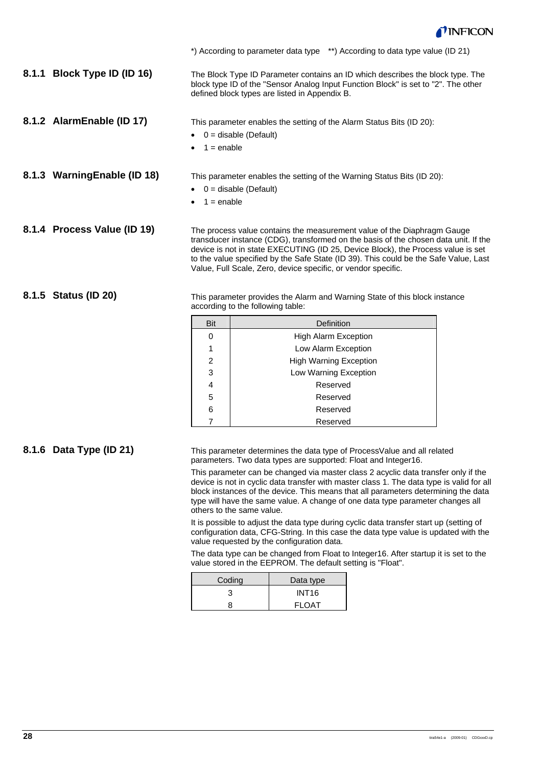

|                              |                                                                                                                                                                                                                                                                                                                                                                                                             |                                               | *) According to parameter data type **) According to data type value (ID 21)                                                                                         |  |  |  |
|------------------------------|-------------------------------------------------------------------------------------------------------------------------------------------------------------------------------------------------------------------------------------------------------------------------------------------------------------------------------------------------------------------------------------------------------------|-----------------------------------------------|----------------------------------------------------------------------------------------------------------------------------------------------------------------------|--|--|--|
| 8.1.1 Block Type ID (ID 16)  |                                                                                                                                                                                                                                                                                                                                                                                                             | defined block types are listed in Appendix B. | The Block Type ID Parameter contains an ID which describes the block type. The<br>block type ID of the "Sensor Analog Input Function Block" is set to "2". The other |  |  |  |
| 8.1.2 AlarmEnable (ID 17)    | $1 =$ enable                                                                                                                                                                                                                                                                                                                                                                                                | 0 = disable (Default)                         | This parameter enables the setting of the Alarm Status Bits (ID 20):                                                                                                 |  |  |  |
| 8.1.3 Warning Enable (ID 18) | This parameter enables the setting of the Warning Status Bits (ID 20):<br>$0 =$ disable (Default)<br>$1 =$ enable                                                                                                                                                                                                                                                                                           |                                               |                                                                                                                                                                      |  |  |  |
| 8.1.4 Process Value (ID 19)  | The process value contains the measurement value of the Diaphragm Gauge<br>transducer instance (CDG), transformed on the basis of the chosen data unit. If the<br>device is not in state EXECUTING (ID 25, Device Block), the Process value is set<br>to the value specified by the Safe State (ID 39). This could be the Safe Value, Last<br>Value, Full Scale, Zero, device specific, or vendor specific. |                                               |                                                                                                                                                                      |  |  |  |
| 8.1.5 Status (ID 20)         |                                                                                                                                                                                                                                                                                                                                                                                                             | according to the following table:             | This parameter provides the Alarm and Warning State of this block instance                                                                                           |  |  |  |
|                              | <b>Bit</b>                                                                                                                                                                                                                                                                                                                                                                                                  |                                               | Definition                                                                                                                                                           |  |  |  |
|                              | 0                                                                                                                                                                                                                                                                                                                                                                                                           |                                               | <b>High Alarm Exception</b>                                                                                                                                          |  |  |  |
|                              | 1                                                                                                                                                                                                                                                                                                                                                                                                           |                                               | Low Alarm Exception                                                                                                                                                  |  |  |  |
|                              | 2                                                                                                                                                                                                                                                                                                                                                                                                           |                                               | <b>High Warning Exception</b>                                                                                                                                        |  |  |  |
|                              | 3                                                                                                                                                                                                                                                                                                                                                                                                           |                                               | Low Warning Exception                                                                                                                                                |  |  |  |
|                              | 4                                                                                                                                                                                                                                                                                                                                                                                                           |                                               | Reserved                                                                                                                                                             |  |  |  |
|                              | 5                                                                                                                                                                                                                                                                                                                                                                                                           |                                               | Reserved                                                                                                                                                             |  |  |  |

**8.1.6 Data Type (ID 21)** 

This parameter determines the data type of ProcessValue and all related parameters. Two data types are supported: Float and Integer16.

This parameter can be changed via master class 2 acyclic data transfer only if the device is not in cyclic data transfer with master class 1. The data type is valid for all block instances of the device. This means that all parameters determining the data type will have the same value. A change of one data type parameter changes all others to the same value.

It is possible to adjust the data type during cyclic data transfer start up (setting of configuration data, CFG-String. In this case the data type value is updated with the value requested by the configuration data.

The data type can be changed from Float to Integer16. After startup it is set to the value stored in the EEPROM. The default setting is "Float".

| Coding | Data type    |  |  |  |
|--------|--------------|--|--|--|
|        | <b>INT16</b> |  |  |  |
|        | <b>FLOAT</b> |  |  |  |

6 Reserved 7 Reserved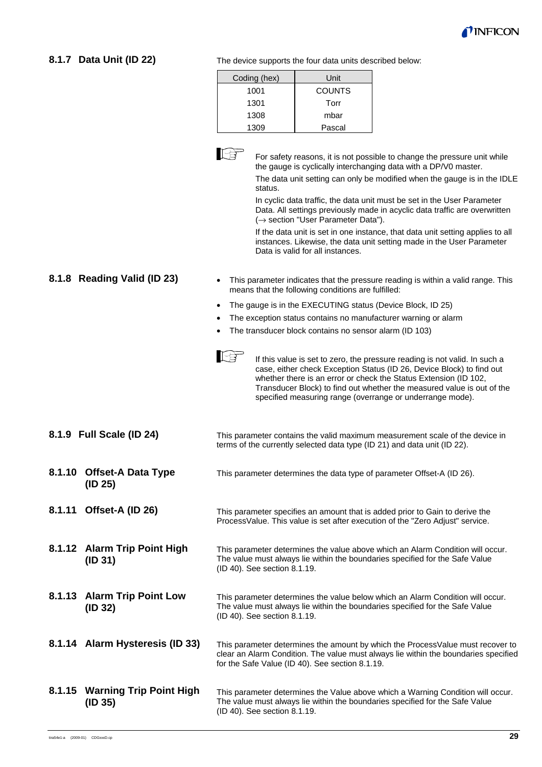

# **8.1.7 Data Unit (ID 22)**

The device supports the four data units described below:

| Coding (hex) | Unit          |
|--------------|---------------|
| 1001         | <b>COUNTS</b> |
| 1301         | Torr          |
| 1308         | mbar          |
| 1309         | Pascal        |



 For safety reasons, it is not possible to change the pressure unit while the gauge is cyclically interchanging data with a DP/V0 master.

The data unit setting can only be modified when the gauge is in the IDLE status.

In cyclic data traffic, the data unit must be set in the User Parameter Data. All settings previously made in acyclic data traffic are overwritten (→ section "User Parameter Data").

If the data unit is set in one instance, that data unit setting applies to all instances. Likewise, the data unit setting made in the User Parameter Data is valid for all instances.

- This parameter indicates that the pressure reading is within a valid range. This means that the following conditions are fulfilled:
- The gauge is in the EXECUTING status (Device Block, ID 25)
- The exception status contains no manufacturer warning or alarm
- The transducer block contains no sensor alarm (ID 103)
- IB If this value is set to zero, the pressure reading is not valid. In such a case, either check Exception Status (ID 26, Device Block) to find out whether there is an error or check the Status Extension (ID 102, Transducer Block) to find out whether the measured value is out of the specified measuring range (overrange or underrange mode).

|        | 8.1.9 Full Scale (ID 24)                  | This parameter contains the valid maximum measurement scale of the device in<br>terms of the currently selected data type (ID 21) and data unit (ID 22).                                                                 |
|--------|-------------------------------------------|--------------------------------------------------------------------------------------------------------------------------------------------------------------------------------------------------------------------------|
|        | 8.1.10 Offset-A Data Type<br>(ID 25)      | This parameter determines the data type of parameter Offset-A (ID 26).                                                                                                                                                   |
| 8.1.11 | Offset-A (ID 26)                          | This parameter specifies an amount that is added prior to Gain to derive the<br>ProcessValue. This value is set after execution of the "Zero Adjust" service.                                                            |
|        | 8.1.12 Alarm Trip Point High<br>(ID 31)   | This parameter determines the value above which an Alarm Condition will occur.<br>The value must always lie within the boundaries specified for the Safe Value<br>(ID 40). See section 8.1.19.                           |
|        | 8.1.13 Alarm Trip Point Low<br>(ID 32)    | This parameter determines the value below which an Alarm Condition will occur.<br>The value must always lie within the boundaries specified for the Safe Value<br>(ID 40). See section 8.1.19.                           |
|        | 8.1.14 Alarm Hysteresis (ID 33)           | This parameter determines the amount by which the ProcessValue must recover to<br>clear an Alarm Condition. The value must always lie within the boundaries specified<br>for the Safe Value (ID 40). See section 8.1.19. |
| 8.1.15 | <b>Warning Trip Point High</b><br>(ID 35) | This parameter determines the Value above which a Warning Condition will occur.<br>The value must always lie within the boundaries specified for the Safe Value                                                          |

(ID 40). See section 8.1.19.

**8.1.8 Reading Valid (ID 23)**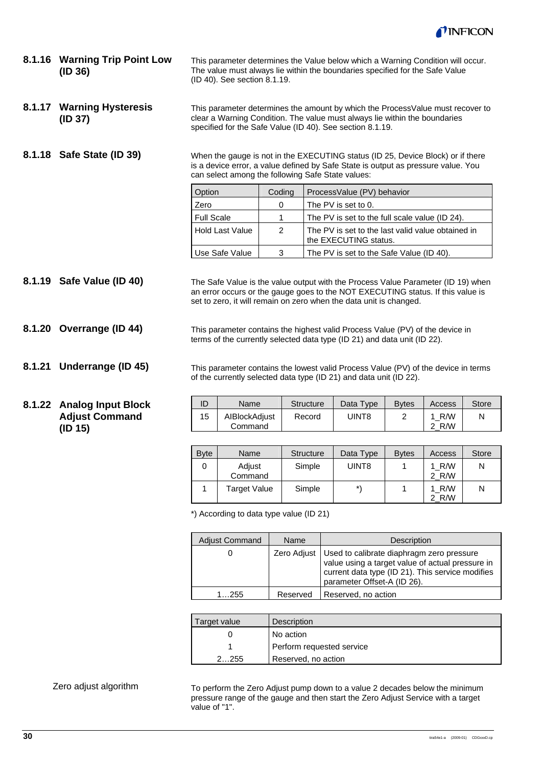

**8.1.16 Warning Trip Point Low (ID 36)** 

This parameter determines the Value below which a Warning Condition will occur. The value must always lie within the boundaries specified for the Safe Value (ID 40). See section 8.1.19.

This parameter determines the amount by which the ProcessValue must recover to clear a Warning Condition. The value must always lie within the boundaries specified for the Safe Value (ID 40). See section 8.1.19. **8.1.17 Warning Hysteresis (ID 37)** 

**8.1.18 Safe State (ID 39)** 

When the gauge is not in the EXECUTING status (ID 25, Device Block) or if there is a device error, a value defined by Safe State is output as pressure value. You can select among the following Safe State values:

| Option            | Coding | ProcessValue (PV) behavior                                                 |
|-------------------|--------|----------------------------------------------------------------------------|
| Zero              | 0      | The PV is set to 0.                                                        |
| <b>Full Scale</b> |        | The PV is set to the full scale value (ID 24).                             |
| Hold Last Value   | 2      | The PV is set to the last valid value obtained in<br>the EXECUTING status. |
| Use Safe Value    | 3      | The PV is set to the Safe Value (ID 40).                                   |

The Safe Value is the value output with the Process Value Parameter (ID 19) when an error occurs or the gauge goes to the NOT EXECUTING status. If this value is set to zero, it will remain on zero when the data unit is changed. **8.1.19 Safe Value (ID 40)** 

> This parameter contains the highest valid Process Value (PV) of the device in terms of the currently selected data type (ID 21) and data unit (ID 22).

**8.1.21 Underrange (ID 45)** 

**8.1.20 Overrange (ID 44)** 

#### **8.1.22 Analog Input Block Adjust Command (ID 15)**

|  | This parameter contains the lowest valid Process Value (PV) of the device in terms<br>of the currently selected data type (ID 21) and data unit (ID 22). |                       |              |        |              |
|--|----------------------------------------------------------------------------------------------------------------------------------------------------------|-----------------------|--------------|--------|--------------|
|  | <b>N</b> ame                                                                                                                                             | Structure   Data Tyne | <b>Rytac</b> | Accass | <b>Store</b> |

| ╺  | 1 141 I IV               | <u>Uuuuuu</u> | Dala Type | ◡ | , 10000    | <b>UNU</b> |
|----|--------------------------|---------------|-----------|---|------------|------------|
| 15 | AIBlockAdjust<br>Command | Record        | JINT8     |   | R/W<br>R/W | Ν          |
|    |                          |               |           |   |            |            |

| <b>Byte</b> | Name                | <b>Structure</b> | Data Type | <b>Bytes</b> | Access       | <b>Store</b> |
|-------------|---------------------|------------------|-----------|--------------|--------------|--------------|
|             | Adjust<br>Command   | Simple           | UINT8     |              | R/W<br>2 R/W | N            |
|             | <b>Target Value</b> | Simple           | *\        |              | R/W<br>R/W   | N            |

\*) According to data type value (ID 21)

| <b>Adjust Command</b> | Name     | Description                                                                                                                                                                                      |
|-----------------------|----------|--------------------------------------------------------------------------------------------------------------------------------------------------------------------------------------------------|
|                       |          | Zero Adjust   Used to calibrate diaphragm zero pressure<br>  value using a target value of actual pressure in<br>current data type (ID 21). This service modifies<br>parameter Offset-A (ID 26). |
| 1255                  | Reserved | Reserved, no action                                                                                                                                                                              |

| Target value | Description               |
|--------------|---------------------------|
|              | No action                 |
|              | Perform requested service |
| 2255         | Reserved, no action       |

To perform the Zero Adjust pump down to a value 2 decades below the minimum pressure range of the gauge and then start the Zero Adjust Service with a target value of "1".

Zero adjust algorithm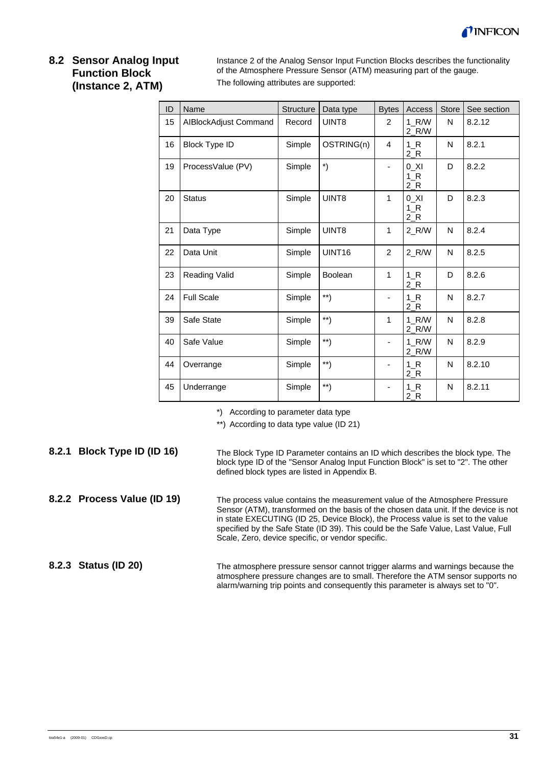

### **8.2 Sensor Analog Input Function Block (Instance 2, ATM)**

Instance 2 of the Analog Sensor Input Function Blocks describes the functionality of the Atmosphere Pressure Sensor (ATM) measuring part of the gauge. The following attributes are supported:

| ID | Name                  | Structure | Data type                         | <b>Bytes</b> | Access                 | Store | See section |
|----|-----------------------|-----------|-----------------------------------|--------------|------------------------|-------|-------------|
| 15 | AIBlockAdjust Command | Record    | UINT8                             | 2            | 1 R/W<br>$2_R/W$       | N     | 8.2.12      |
| 16 | <b>Block Type ID</b>  | Simple    | OSTRING(n)                        | 4            | 1 R<br>2 R             | N     | 8.2.1       |
| 19 | ProcessValue (PV)     | Simple    | $\boldsymbol{\mathsf{^{\star}}})$ |              | 0 XI<br>$1_R$<br>$2_R$ | D     | 8.2.2       |
| 20 | <b>Status</b>         | Simple    | UINT8                             | $\mathbf{1}$ | 0 XI<br>$1_R$<br>$2_R$ | D     | 8.2.3       |
| 21 | Data Type             | Simple    | UINT8                             | $\mathbf{1}$ | 2 R/W                  | N     | 8.2.4       |
| 22 | Data Unit             | Simple    | UINT <sub>16</sub>                | 2            | $2_R/W$                | N     | 8.2.5       |
| 23 | Reading Valid         | Simple    | <b>Boolean</b>                    | 1            | $1_R$<br>$2_R$         | D     | 8.2.6       |
| 24 | <b>Full Scale</b>     | Simple    | $\left( \frac{1}{2} \right)$      |              | $1_R$<br>$2_R$         | N     | 8.2.7       |
| 39 | Safe State            | Simple    | $^{\ast\ast})$                    | 1            | 1 R/W<br>$2_R/W$       | N     | 8.2.8       |
| 40 | Safe Value            | Simple    | $\left( \frac{1}{2} \right)$      |              | 1 R/W<br>$2_R/W$       | N     | 8.2.9       |
| 44 | Overrange             | Simple    | $\left( \frac{1}{2} \right)$      |              | $1_R$<br>2 R           | N     | 8.2.10      |
| 45 | Underrange            | Simple    | $\left( \frac{1}{2} \right)$      |              | $1_R$<br>$2_R$         | N     | 8.2.11      |

\*) According to parameter data type

\*\*) According to data type value (ID 21)

The Block Type ID Parameter contains an ID which describes the block type. The block type ID of the "Sensor Analog Input Function Block" is set to "2". The other defined block types are listed in Appendix B. **8.2.1 Block Type ID (ID 16)** 

The process value contains the measurement value of the Atmosphere Pressure Sensor (ATM), transformed on the basis of the chosen data unit. If the device is not in state EXECUTING (ID 25, Device Block), the Process value is set to the value specified by the Safe State (ID 39). This could be the Safe Value, Last Value, Full Scale, Zero, device specific, or vendor specific. **8.2.2 Process Value (ID 19)** 

The atmosphere pressure sensor cannot trigger alarms and warnings because the atmosphere pressure changes are to small. Therefore the ATM sensor supports no alarm/warning trip points and consequently this parameter is always set to "0". **8.2.3 Status (ID 20)**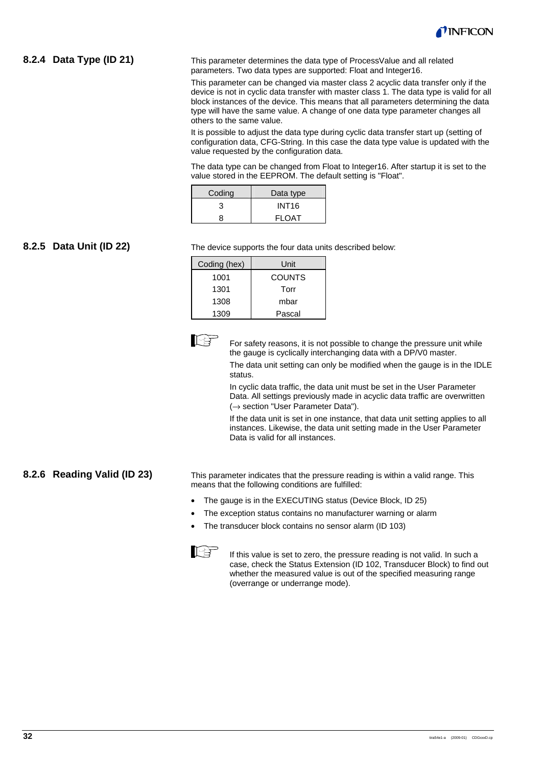

#### **8.2.4 Data Type (ID 21)**

This parameter determines the data type of ProcessValue and all related parameters. Two data types are supported: Float and Integer16.

This parameter can be changed via master class 2 acyclic data transfer only if the device is not in cyclic data transfer with master class 1. The data type is valid for all block instances of the device. This means that all parameters determining the data type will have the same value. A change of one data type parameter changes all others to the same value.

It is possible to adjust the data type during cyclic data transfer start up (setting of configuration data, CFG-String. In this case the data type value is updated with the value requested by the configuration data.

The data type can be changed from Float to Integer16. After startup it is set to the value stored in the EEPROM. The default setting is "Float".

| Coding | Data type    |
|--------|--------------|
| З      | <b>INT16</b> |
| ጸ      | <b>FLOAT</b> |

#### **8.2.5 Data Unit (ID 22)**

The device supports the four data units described below:

| Coding (hex) | Unit          |
|--------------|---------------|
| 1001         | <b>COUNTS</b> |
| 1301         | Torr          |
| 1308         | mbar          |
| 1309         | Pascal        |



For safety reasons, it is not possible to change the pressure unit while the gauge is cyclically interchanging data with a DP/V0 master.

> The data unit setting can only be modified when the gauge is in the IDLE status.

In cyclic data traffic, the data unit must be set in the User Parameter Data. All settings previously made in acyclic data traffic are overwritten (→ section "User Parameter Data").

If the data unit is set in one instance, that data unit setting applies to all instances. Likewise, the data unit setting made in the User Parameter Data is valid for all instances.

#### **8.2.6 Reading Valid (ID 23)**

This parameter indicates that the pressure reading is within a valid range. This means that the following conditions are fulfilled:

- The gauge is in the EXECUTING status (Device Block, ID 25)
- The exception status contains no manufacturer warning or alarm
- The transducer block contains no sensor alarm (ID 103)



If this value is set to zero, the pressure reading is not valid. In such a case, check the Status Extension (ID 102, Transducer Block) to find out whether the measured value is out of the specified measuring range (overrange or underrange mode).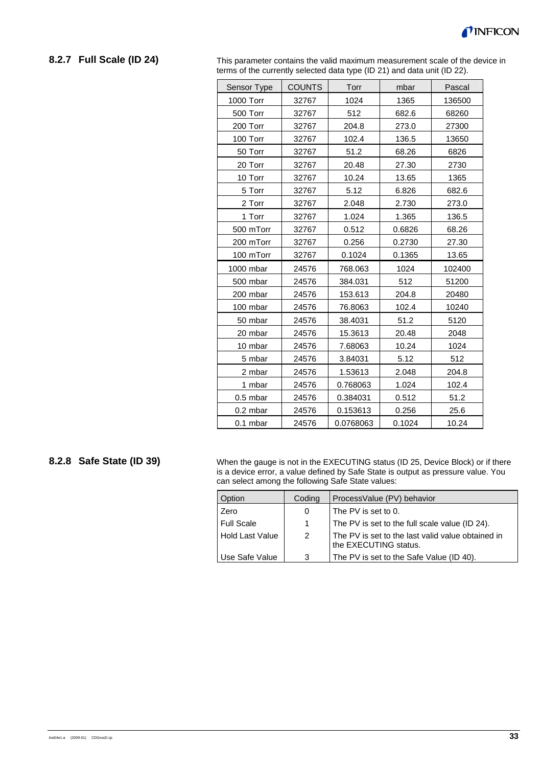#### **8.2.7 Full Scale (ID 24)**

This parameter contains the valid maximum measurement scale of the device in terms of the currently selected data type (ID 21) and data unit (ID 22).

| Sensor Type | <b>COUNTS</b> | Torr      | mbar   | Pascal |
|-------------|---------------|-----------|--------|--------|
| 1000 Torr   | 32767         | 1024      | 1365   | 136500 |
| 500 Torr    | 32767         | 512       | 682.6  | 68260  |
| 200 Torr    | 32767         | 204.8     | 273.0  | 27300  |
| 100 Torr    | 32767         | 102.4     | 136.5  | 13650  |
| 50 Torr     | 32767         | 51.2      | 68.26  | 6826   |
| 20 Torr     | 32767         | 20.48     | 27.30  | 2730   |
| 10 Torr     | 32767         | 10.24     | 13.65  | 1365   |
| 5 Torr      | 32767         | 5.12      | 6.826  | 682.6  |
| 2 Torr      | 32767         | 2.048     | 2.730  | 273.0  |
| 1 Torr      | 32767         | 1.024     | 1.365  | 136.5  |
| 500 mTorr   | 32767         | 0.512     | 0.6826 | 68.26  |
| 200 mTorr   | 32767         | 0.256     | 0.2730 | 27.30  |
| 100 mTorr   | 32767         | 0.1024    | 0.1365 | 13.65  |
| 1000 mbar   | 24576         | 768.063   | 1024   | 102400 |
| 500 mbar    | 24576         | 384.031   | 512    | 51200  |
| 200 mbar    | 24576         | 153.613   | 204.8  | 20480  |
| 100 mbar    | 24576         | 76.8063   | 102.4  | 10240  |
| 50 mbar     | 24576         | 38.4031   | 51.2   | 5120   |
| 20 mbar     | 24576         | 15.3613   | 20.48  | 2048   |
| 10 mbar     | 24576         | 7.68063   | 10.24  | 1024   |
| 5 mbar      | 24576         | 3.84031   | 5.12   | 512    |
| 2 mbar      | 24576         | 1.53613   | 2.048  | 204.8  |
| 1 mbar      | 24576         | 0.768063  | 1.024  | 102.4  |
| $0.5$ mbar  | 24576         | 0.384031  | 0.512  | 51.2   |
| 0.2 mbar    | 24576         | 0.153613  | 0.256  | 25.6   |
| $0.1$ mbar  | 24576         | 0.0768063 | 0.1024 | 10.24  |

#### **8.2.8 Safe State (ID 39)**

When the gauge is not in the EXECUTING status (ID 25, Device Block) or if there is a device error, a value defined by Safe State is output as pressure value. You can select among the following Safe State values:

| Option                 | Coding | ProcessValue (PV) behavior                                                 |
|------------------------|--------|----------------------------------------------------------------------------|
| Zero                   | 0      | The PV is set to 0.                                                        |
| <b>Full Scale</b>      | 1.     | The PV is set to the full scale value (ID 24).                             |
| <b>Hold Last Value</b> | 2      | The PV is set to the last valid value obtained in<br>the EXECUTING status. |
| Use Safe Value         | 3      | The PV is set to the Safe Value (ID 40).                                   |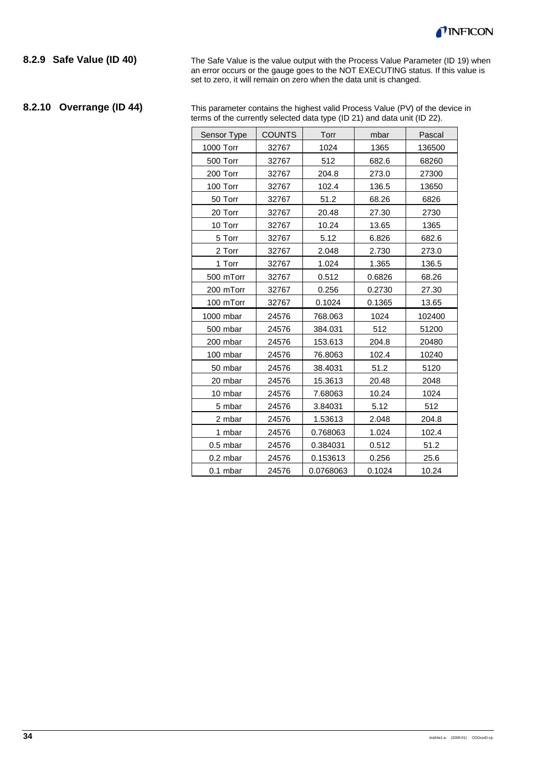

#### **8.2.9 Safe Value (ID 40)**

The Safe Value is the value output with the Process Value Parameter (ID 19) when an error occurs or the gauge goes to the NOT EXECUTING status. If this value is set to zero, it will remain on zero when the data unit is changed.

# **8.2.10 Overrange (ID 44)**

This parameter contains the highest valid Process Value (PV) of the device in terms of the currently selected data type (ID 21) and data unit (ID 22).

| Sensor Type | <b>COUNTS</b> | Torr      | mbar   | Pascal |
|-------------|---------------|-----------|--------|--------|
| 1000 Torr   | 32767         | 1024      | 1365   | 136500 |
| 500 Torr    | 32767         | 512       | 682.6  | 68260  |
| 200 Torr    | 32767         | 204.8     | 273.0  | 27300  |
| 100 Torr    | 32767         | 102.4     | 136.5  | 13650  |
| 50 Torr     | 32767         | 51.2      | 68.26  | 6826   |
| 20 Torr     | 32767         | 20.48     | 27.30  | 2730   |
| 10 Torr     | 32767         | 10.24     | 13.65  | 1365   |
| 5 Torr      | 32767         | 5.12      | 6.826  | 682.6  |
| 2 Torr      | 32767         | 2.048     | 2.730  | 273.0  |
| 1 Torr      | 32767         | 1.024     | 1.365  | 136.5  |
| 500 mTorr   | 32767         | 0.512     | 0.6826 | 68.26  |
| 200 mTorr   | 32767         | 0.256     | 0.2730 | 27.30  |
| 100 mTorr   | 32767         | 0.1024    | 0.1365 | 13.65  |
| 1000 mbar   | 24576         | 768.063   | 1024   | 102400 |
| 500 mbar    | 24576         | 384.031   | 512    | 51200  |
| 200 mbar    | 24576         | 153.613   | 204.8  | 20480  |
| 100 mbar    | 24576         | 76.8063   | 102.4  | 10240  |
| 50 mbar     | 24576         | 38.4031   | 51.2   | 5120   |
| 20 mbar     | 24576         | 15.3613   | 20.48  | 2048   |
| 10 mbar     | 24576         | 7.68063   | 10.24  | 1024   |
| 5 mbar      | 24576         | 3.84031   | 5.12   | 512    |
| 2 mbar      | 24576         | 1.53613   | 2.048  | 204.8  |
| 1 mbar      | 24576         | 0.768063  | 1.024  | 102.4  |
| $0.5$ mbar  | 24576         | 0.384031  | 0.512  | 51.2   |
| 0.2 mbar    | 24576         | 0.153613  | 0.256  | 25.6   |
| $0.1$ mbar  | 24576         | 0.0768063 | 0.1024 | 10.24  |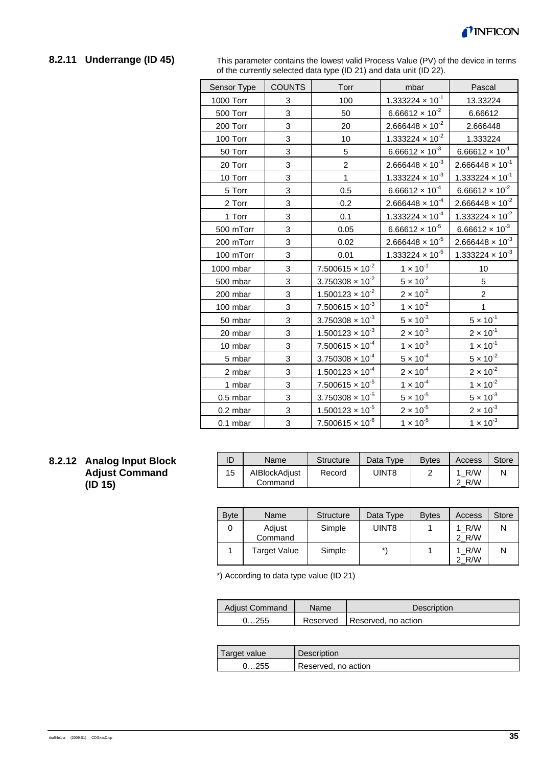

# **8.2.11 Underrange (ID 45)**

This parameter contains the lowest valid Process Value (PV) of the device in terms of the currently selected data type (ID 21) and data unit (ID 22).

| <b>COUNTS</b><br>Sensor Type | Torr<br>mbar                                                                                                                                                                                                                                        | Pascal                             |
|------------------------------|-----------------------------------------------------------------------------------------------------------------------------------------------------------------------------------------------------------------------------------------------------|------------------------------------|
| 3                            | $1.333224 \times 10^{-1}$<br>100                                                                                                                                                                                                                    | 13.33224                           |
| 3                            | $6.66612 \times 10^{-2}$<br>50                                                                                                                                                                                                                      | 6.66612                            |
| 3                            | $2.666448 \times 10^{-2}$<br>20                                                                                                                                                                                                                     | 2.666448                           |
| 3                            | $1.333224 \times 10^{-2}$<br>10                                                                                                                                                                                                                     | 1.333224                           |
| 3                            | $6.66612 \times 10^{-3}$<br>5                                                                                                                                                                                                                       | $6.66612 \times 10^{-1}$           |
| 3                            | $2.666448 \times 10^{-3}$<br>$\overline{c}$                                                                                                                                                                                                         | $2.666448 \times 10^{-1}$          |
| 3                            | $1.333224 \times 10^{-3}$<br>$\overline{1}$                                                                                                                                                                                                         | $1.333224 \times 10^{-1}$          |
| 3                            | $\frac{6.66612 \times 10^{-4}}{2}$<br>0.5                                                                                                                                                                                                           | $6.66612 \times 10^{-2}$           |
| 3                            | $2.666448 \times 10^{-4}$<br>0.2                                                                                                                                                                                                                    | $2.666448 \times 10^{-2}$          |
| 3                            | 1.333224 $\times$ 10 <sup>-4</sup><br>0.1                                                                                                                                                                                                           | 1.333224 $\times$ 10 <sup>-2</sup> |
| 3<br>500 mTorr               | $6.66612 \times 10^{-5}$<br>0.05                                                                                                                                                                                                                    | $6.66612 \times 10^{-3}$           |
| 3<br>200 mTorr               | $2.666448 \times 10^{-5}$<br>0.02                                                                                                                                                                                                                   | $2.666448 \times 10^{-3}$          |
| 3<br>100 mTorr               | 1.333224 $\times$ 10 <sup>-5</sup><br>0.01                                                                                                                                                                                                          | 1.333224 $\times$ 10 <sup>-3</sup> |
| 3                            | $7.500615 \times 10^{-2}$                                                                                                                                                                                                                           | 10                                 |
| 3                            | $3.750308 \times 10^{-2}$                                                                                                                                                                                                                           | 5                                  |
| 3                            |                                                                                                                                                                                                                                                     | $\overline{2}$                     |
| 3                            | $7.500615 \times 10^{-3}$                                                                                                                                                                                                                           | 1                                  |
| 3                            | $3.750308 \times 10^{-3}$                                                                                                                                                                                                                           | $5 \times 10^{-1}$                 |
| 3                            | $\frac{1.500123 \times 10^{-3}}{1.500123 \times 10^{-3}}$                                                                                                                                                                                           | $2 \times 10^{-1}$                 |
| 3                            | $1 \times 10^{-3}$<br>$7.500615 \times 10^{-4}$                                                                                                                                                                                                     | $1 \times 10^{-1}$                 |
| 3                            | $3.750308 \times 10^{-4}$                                                                                                                                                                                                                           | $5 \times 10^{-2}$                 |
| 3                            | $\frac{1.500123 \times 10^{-4}}{1.500123 \times 10^{-4}}$                                                                                                                                                                                           | $2 \times 10^{-2}$                 |
| 3                            | $7.500615 \times 10^{-5}$                                                                                                                                                                                                                           | $1 \times 10^{-2}$                 |
| 3                            | $5 \times 10^{-5}$<br>$3.750308 \times 10^{-5}$                                                                                                                                                                                                     | $5 \times 10^{-3}$                 |
| 3                            | $2 \times 10^{-5}$<br>$1.500123 \times 10^{-5}$                                                                                                                                                                                                     | $2 \times 10^{-3}$                 |
| 3                            | $1 \times 10^{-5}$<br>$7.500615 \times 10^{-6}$                                                                                                                                                                                                     | $1 \times 10^{-3}$                 |
|                              | $1 \times 10^{-1}$<br>$\frac{5 \times 10^{-2}}{2}$<br>$2 \times 10^{-2}$<br>$1.500123 \times 10^{-2}$<br>$1 \times 10^{-2}$<br>$\frac{5 \times 10^{-3}}{2}$<br>$2 \times 10^{-3}$<br>$5 \times 10^{-4}$<br>$2 \times 10^{-4}$<br>$1 \times 10^{-4}$ |                                    |

### **8.2.12 Analog Input Block Adjust Command (ID 15)**

| ID | Name                     | <b>Structure</b> | Data Type | <b>B</b> ytes | Access     | Store |
|----|--------------------------|------------------|-----------|---------------|------------|-------|
| 15 | AIBlockAdjust<br>Command | Record           | UINT8     |               | R/W<br>R/W |       |

| <b>Byte</b> | Name                | <b>Structure</b> | Data Type | <b>B</b> vtes | Access         | <b>Store</b> |
|-------------|---------------------|------------------|-----------|---------------|----------------|--------------|
|             | Adjust<br>Command   | Simple           | UINT8     |               | 1 R/W<br>2 R/W |              |
|             | <b>Target Value</b> | Simple           | $\star$   |               | 1 R/W<br>2 R/W |              |

\*) According to data type value (ID 21)

| <b>Adiust Command</b> | <b>Name</b> | Description                    |
|-----------------------|-------------|--------------------------------|
| 0255                  |             | Reserved   Reserved, no action |

| Target value | Description         |
|--------------|---------------------|
| 0255         | Reserved, no action |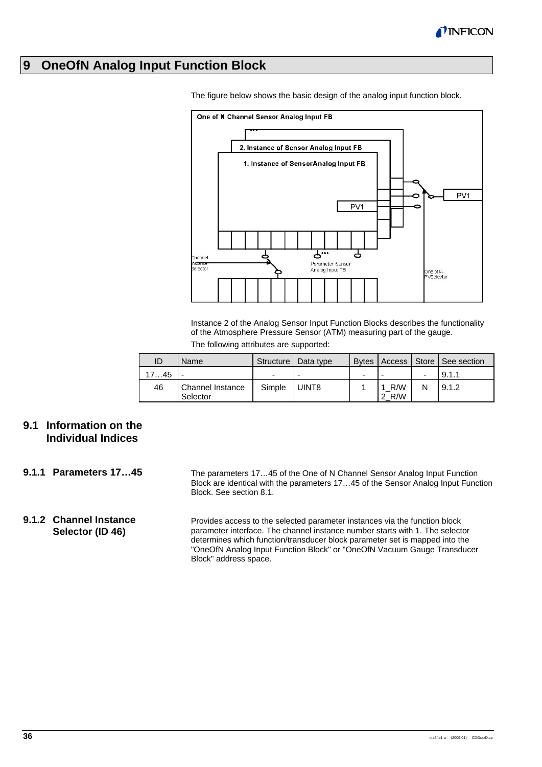

# **9 OneOfN Analog Input Function Block**



The figure below shows the basic design of the analog input function block.

Instance 2 of the Analog Sensor Input Function Blocks describes the functionality of the Atmosphere Pressure Sensor (ATM) measuring part of the gauge.

| The following attributes are supported: |  |  |
|-----------------------------------------|--|--|
|-----------------------------------------|--|--|

| ID   | Name                         |        | Structure   Data type |   |                   |   | Bytes   Access   Store   See section |
|------|------------------------------|--------|-----------------------|---|-------------------|---|--------------------------------------|
| 1745 |                              | -      |                       | - |                   |   | 9.1.1                                |
| 46   | Channel Instance<br>Selector | Simple | I UINT8               |   | R/W<br>1<br>2 R/W | N | 19.1.2                               |

# **9.1 Information on the Individual Indices**

- The parameters 17…45 of the One of N Channel Sensor Analog Input Function Block are identical with the parameters 17…45 of the Sensor Analog Input Function Block. See section 8.1. **9.1.1 Parameters 17…45**
- Provides access to the selected parameter instances via the function block parameter interface. The channel instance number starts with 1. The selector determines which function/transducer block parameter set is mapped into the "OneOfN Analog Input Function Block" or "OneOfN Vacuum Gauge Transducer Block" address space. **9.1.2 Channel Instance Selector (ID 46)**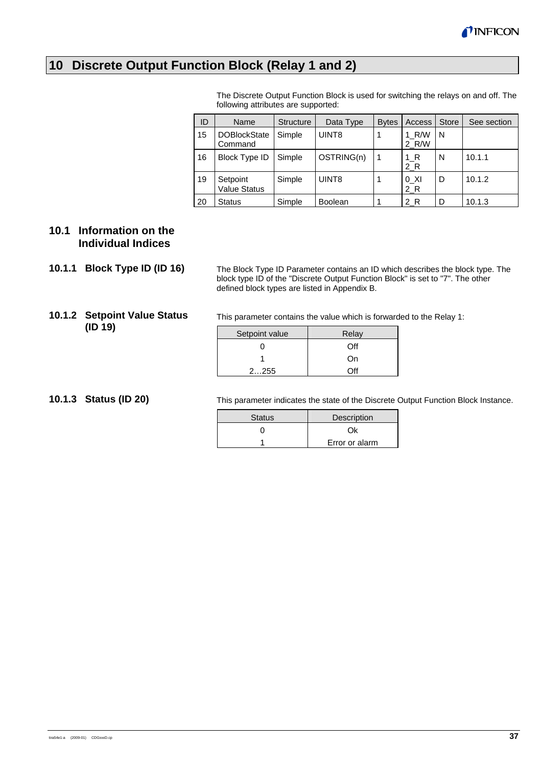# **10 Discrete Output Function Block (Relay 1 and 2)**

The Discrete Output Function Block is used for switching the relays on and off. The following attributes are supported:

| ID | Name                            | <b>Structure</b> | Data Type      | <b>B</b> vtes | Access           | <b>Store</b> | See section |
|----|---------------------------------|------------------|----------------|---------------|------------------|--------------|-------------|
| 15 | <b>DOBlockState</b><br>Command  | Simple           | UINT8          |               | 1 R/W<br>2 R/W   | N            |             |
| 16 | <b>Block Type ID</b>            | Simple           | OSTRING(n)     | 1             | $1_R$<br>2R      | N            | 10.1.1      |
| 19 | Setpoint<br><b>Value Status</b> | Simple           | UINT8          |               | $0$ _XI<br>$2_R$ | D            | 10.1.2      |
| 20 | <b>Status</b>                   | Simple           | <b>Boolean</b> |               | 2 R              | D            | 10.1.3      |

# **10.1 Information on the Individual Indices**

#### **10.1.1 Block Type ID (ID 16)**

The Block Type ID Parameter contains an ID which describes the block type. The block type ID of the "Discrete Output Function Block" is set to "7". The other defined block types are listed in Appendix B.

### **10.1.2 Setpoint Value Status (ID 19)**

This parameter contains the value which is forwarded to the Relay 1:

| Setpoint value | Relay |
|----------------|-------|
|                | ∩ff   |
|                | On    |
| 2255           | ገff   |

**10.1.3 Status (ID 20)** 

This parameter indicates the state of the Discrete Output Function Block Instance.

| <b>Status</b> | Description    |
|---------------|----------------|
|               |                |
|               | Error or alarm |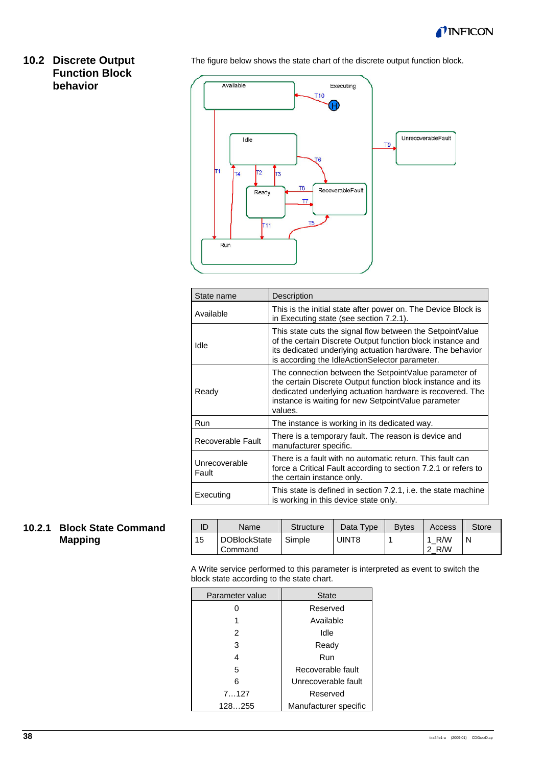

# **10.2 Discrete Output Function Block behavior**

The figure below shows the state chart of the discrete output function block.



| State name             | Description                                                                                                                                                                                                                                          |
|------------------------|------------------------------------------------------------------------------------------------------------------------------------------------------------------------------------------------------------------------------------------------------|
| Available              | This is the initial state after power on. The Device Block is<br>in Executing state (see section 7.2.1).                                                                                                                                             |
| Idle                   | This state cuts the signal flow between the SetpointValue<br>of the certain Discrete Output function block instance and<br>its dedicated underlying actuation hardware. The behavior<br>is according the IdleActionSelector parameter.               |
| Ready                  | The connection between the Setpoint Value parameter of<br>the certain Discrete Output function block instance and its<br>dedicated underlying actuation hardware is recovered. The<br>instance is waiting for new SetpointValue parameter<br>values. |
| Run                    | The instance is working in its dedicated way.                                                                                                                                                                                                        |
| Recoverable Fault      | There is a temporary fault. The reason is device and<br>manufacturer specific.                                                                                                                                                                       |
| Unrecoverable<br>Fault | There is a fault with no automatic return. This fault can<br>force a Critical Fault according to section 7.2.1 or refers to<br>the certain instance only.                                                                                            |
| Executing              | This state is defined in section 7.2.1, i.e. the state machine<br>is working in this device state only.                                                                                                                                              |

# **10.2.1 Block State Command Mapping**

| ID | Name                           | <b>Structure</b> | Data Type | <b>B</b> ytes | Access     | Store |
|----|--------------------------------|------------------|-----------|---------------|------------|-------|
| 15 | <b>DOBlockState</b><br>Command | Simple           | UINT8     |               | R/W<br>R/W |       |

A Write service performed to this parameter is interpreted as event to switch the block state according to the state chart.

| Parameter value | <b>State</b>          |
|-----------------|-----------------------|
| 0               | Reserved              |
| 1               | Available             |
| 2               | Idle                  |
| 3               | Ready                 |
| 4               | Run                   |
| 5               | Recoverable fault     |
| 6               | Unrecoverable fault   |
| 7127            | Reserved              |
| 128255          | Manufacturer specific |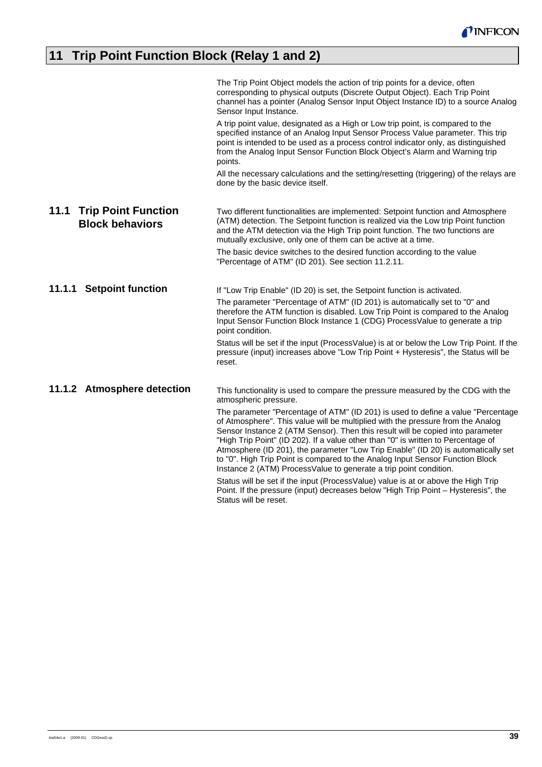# **11 Trip Point Function Block (Relay 1 and 2)**

|                                                              | The Trip Point Object models the action of trip points for a device, often<br>corresponding to physical outputs (Discrete Output Object). Each Trip Point<br>channel has a pointer (Analog Sensor Input Object Instance ID) to a source Analog<br>Sensor Input Instance.                                                                                                                                                                                                                                                                                                              |
|--------------------------------------------------------------|---------------------------------------------------------------------------------------------------------------------------------------------------------------------------------------------------------------------------------------------------------------------------------------------------------------------------------------------------------------------------------------------------------------------------------------------------------------------------------------------------------------------------------------------------------------------------------------|
|                                                              | A trip point value, designated as a High or Low trip point, is compared to the<br>specified instance of an Analog Input Sensor Process Value parameter. This trip<br>point is intended to be used as a process control indicator only, as distinguished<br>from the Analog Input Sensor Function Block Object's Alarm and Warning trip<br>points.                                                                                                                                                                                                                                     |
|                                                              | All the necessary calculations and the setting/resetting (triggering) of the relays are<br>done by the basic device itself.                                                                                                                                                                                                                                                                                                                                                                                                                                                           |
| 11.1<br><b>Trip Point Function</b><br><b>Block behaviors</b> | Two different functionalities are implemented: Setpoint function and Atmosphere<br>(ATM) detection. The Setpoint function is realized via the Low trip Point function<br>and the ATM detection via the High Trip point function. The two functions are<br>mutually exclusive, only one of them can be active at a time.                                                                                                                                                                                                                                                               |
|                                                              | The basic device switches to the desired function according to the value<br>"Percentage of ATM" (ID 201). See section 11.2.11.                                                                                                                                                                                                                                                                                                                                                                                                                                                        |
| 11.1.1 Setpoint function                                     | If "Low Trip Enable" (ID 20) is set, the Setpoint function is activated.                                                                                                                                                                                                                                                                                                                                                                                                                                                                                                              |
|                                                              | The parameter "Percentage of ATM" (ID 201) is automatically set to "0" and<br>therefore the ATM function is disabled. Low Trip Point is compared to the Analog<br>Input Sensor Function Block Instance 1 (CDG) ProcessValue to generate a trip<br>point condition.                                                                                                                                                                                                                                                                                                                    |
|                                                              | Status will be set if the input (ProcessValue) is at or below the Low Trip Point. If the<br>pressure (input) increases above "Low Trip Point + Hysteresis", the Status will be<br>reset.                                                                                                                                                                                                                                                                                                                                                                                              |
| 11.1.2 Atmosphere detection                                  | This functionality is used to compare the pressure measured by the CDG with the<br>atmospheric pressure.                                                                                                                                                                                                                                                                                                                                                                                                                                                                              |
|                                                              | The parameter "Percentage of ATM" (ID 201) is used to define a value "Percentage<br>of Atmosphere". This value will be multiplied with the pressure from the Analog<br>Sensor Instance 2 (ATM Sensor). Then this result will be copied into parameter<br>"High Trip Point" (ID 202). If a value other than "0" is written to Percentage of<br>Atmosphere (ID 201), the parameter "Low Trip Enable" (ID 20) is automatically set<br>to "0". High Trip Point is compared to the Analog Input Sensor Function Block<br>Instance 2 (ATM) ProcessValue to generate a trip point condition. |
|                                                              | Status will be set if the input (ProcessValue) value is at or above the High Trip<br>Point. If the pressure (input) decreases below "High Trip Point - Hysteresis", the<br>Status will be reset.                                                                                                                                                                                                                                                                                                                                                                                      |
|                                                              |                                                                                                                                                                                                                                                                                                                                                                                                                                                                                                                                                                                       |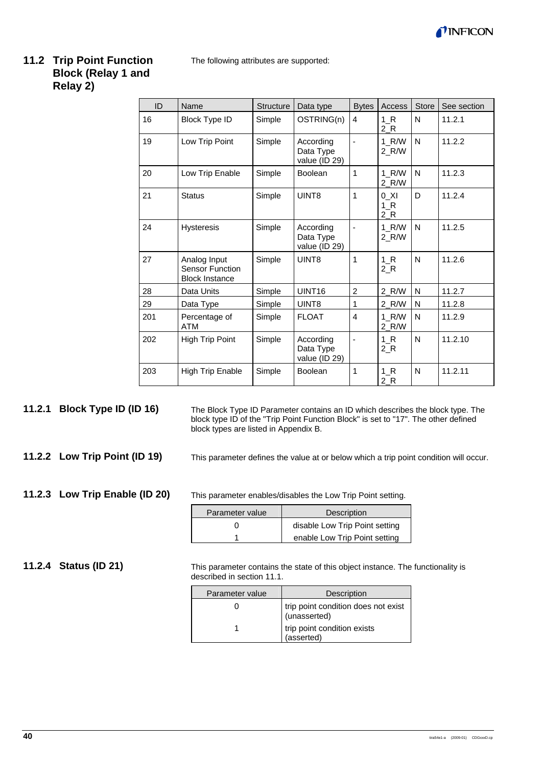

# **11.2 Trip Point Function Block (Relay 1 and Relay 2)**

The following attributes are supported:

| ID  | Name                                                            | <b>Structure</b> | Data type                               | <b>Bytes</b>   | Access             | <b>Store</b> | See section |
|-----|-----------------------------------------------------------------|------------------|-----------------------------------------|----------------|--------------------|--------------|-------------|
| 16  | <b>Block Type ID</b>                                            | Simple           | OSTRING(n)                              | 4              | 1 R<br>2 R         | N            | 11.2.1      |
| 19  | Low Trip Point                                                  | Simple           | According<br>Data Type<br>value (ID 29) |                | 1 R/W<br>2 R/W     | N            | 11.2.2      |
| 20  | Low Trip Enable                                                 | Simple           | <b>Boolean</b>                          | 1              | 1 R/W<br>2 R/W     | N            | 11.2.3      |
| 21  | <b>Status</b>                                                   | Simple           | UINT8                                   | 1              | 0 XI<br>1 R<br>2 R | D            | 11.2.4      |
| 24  | <b>Hysteresis</b>                                               | Simple           | According<br>Data Type<br>value (ID 29) |                | 1 R/W<br>2 R/W     | N            | 11.2.5      |
| 27  | Analog Input<br><b>Sensor Function</b><br><b>Block Instance</b> | Simple           | UINT8                                   | 1              | 1 R<br>$2_R$       | N            | 11.2.6      |
| 28  | Data Units                                                      | Simple           | UINT <sub>16</sub>                      | $\overline{2}$ | 2 R/W              | N            | 11.2.7      |
| 29  | Data Type                                                       | Simple           | UINT8                                   | 1              | 2 R/W              | N            | 11.2.8      |
| 201 | Percentage of<br><b>ATM</b>                                     | Simple           | <b>FLOAT</b>                            | 4              | 1 R/W<br>2 R/W     | N            | 11.2.9      |
| 202 | <b>High Trip Point</b>                                          | Simple           | According<br>Data Type<br>value (ID 29) | $\overline{a}$ | 1 R<br>$2_R$       | N            | 11.2.10     |
| 203 | <b>High Trip Enable</b>                                         | Simple           | <b>Boolean</b>                          | 1              | 1 R<br>2 R         | N            | 11.2.11     |

The Block Type ID Parameter contains an ID which describes the block type. The block type ID of the "Trip Point Function Block" is set to "17". The other defined block types are listed in Appendix B. **11.2.1 Block Type ID (ID 16)** 

**11.2.2 Low Trip Point (ID 19)** 

This parameter defines the value at or below which a trip point condition will occur.

**11.2.3 Low Trip Enable (ID 20)** 

This parameter enables/disables the Low Trip Point setting.

| Parameter value | Description                    |
|-----------------|--------------------------------|
|                 | disable Low Trip Point setting |
|                 | enable Low Trip Point setting  |

**11.2.4 Status (ID 21)** 

This parameter contains the state of this object instance. The functionality is described in section 11.1.

| Parameter value | Description                                         |
|-----------------|-----------------------------------------------------|
|                 | trip point condition does not exist<br>(unasserted) |
|                 | trip point condition exists<br>(asserted)           |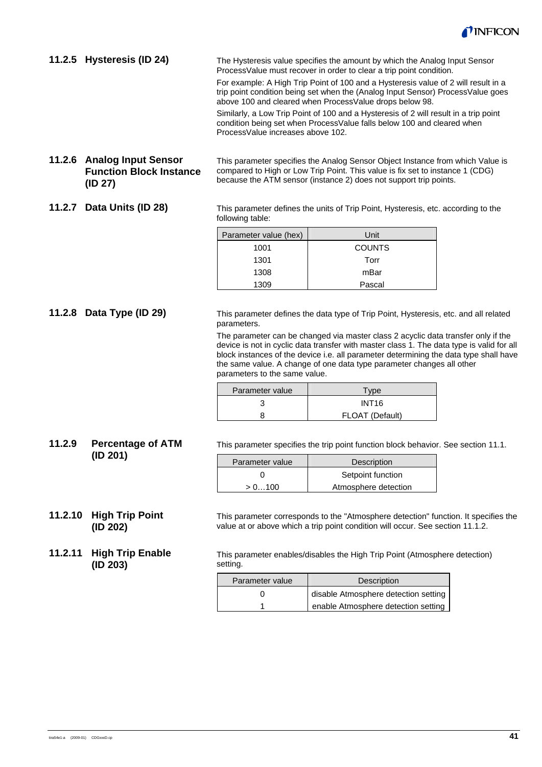

The Hysteresis value specifies the amount by which the Analog Input Sensor ProcessValue must recover in order to clear a trip point condition. For example: A High Trip Point of 100 and a Hysteresis value of 2 will result in a trip point condition being set when the (Analog Input Sensor) ProcessValue goes above 100 and cleared when ProcessValue drops below 98. Similarly, a Low Trip Point of 100 and a Hysteresis of 2 will result in a trip point condition being set when ProcessValue falls below 100 and cleared when ProcessValue increases above 102. **11.2.5 Hysteresis (ID 24)** 

#### **11.2.6 Analog Input Sensor Function Block Instance (ID 27)**

This parameter specifies the Analog Sensor Object Instance from which Value is compared to High or Low Trip Point. This value is fix set to instance 1 (CDG) because the ATM sensor (instance 2) does not support trip points.

**11.2.7 Data Units (ID 28)** 

This parameter defines the units of Trip Point, Hysteresis, etc. according to the following table:

| Parameter value (hex) | Unit          |
|-----------------------|---------------|
| 1001                  | <b>COUNTS</b> |
| 1301                  | Torr          |
| 1308                  | mBar          |
| 1309                  | Pascal        |

#### **11.2.8 Data Type (ID 29)**

This parameter defines the data type of Trip Point, Hysteresis, etc. and all related parameters.

The parameter can be changed via master class 2 acyclic data transfer only if the device is not in cyclic data transfer with master class 1. The data type is valid for all block instances of the device i.e. all parameter determining the data type shall have the same value. A change of one data type parameter changes all other parameters to the same value.

| Parameter value | $TV$ pe           |
|-----------------|-------------------|
|                 | INT <sub>16</sub> |
|                 | FLOAT (Default)   |

This parameter specifies the trip point function block behavior. See section 11.1. **11.2.9 Percentage of ATM** 

| Parameter value | Description          |
|-----------------|----------------------|
|                 | Setpoint function    |
| > 0100          | Atmosphere detection |

**11.2.10 High Trip Point (ID 202)** 

**11.2.11 High Trip Enable (ID 203)** 

**(ID 201)** 

value at or above which a trip point condition will occur. See section 11.1.2.

This parameter enables/disables the High Trip Point (Atmosphere detection) setting.

This parameter corresponds to the "Atmosphere detection" function. It specifies the

| Parameter value | Description                          |
|-----------------|--------------------------------------|
|                 | disable Atmosphere detection setting |
|                 | enable Atmosphere detection setting  |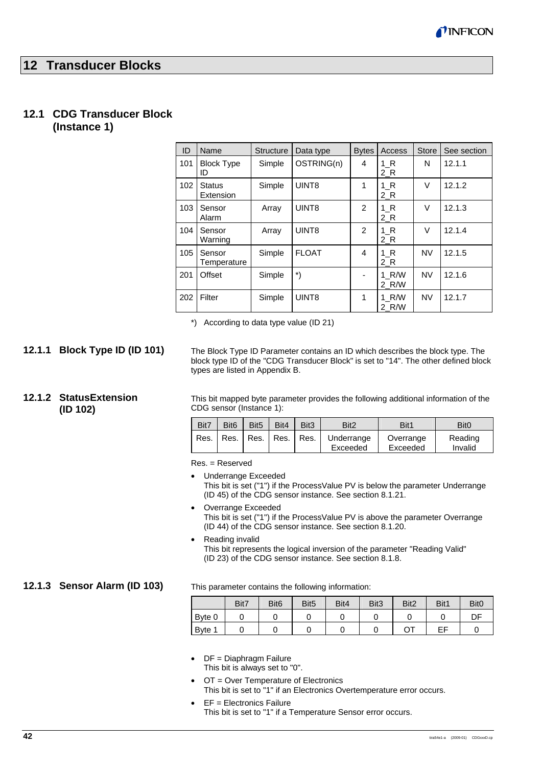# **12 Transducer Blocks**

# **12.1 CDG Transducer Block**

**(Instance 1)** 

| ID  | Name                       | <b>Structure</b> | Data type    | <b>Bytes</b>   | Access         | <b>Store</b> | See section |
|-----|----------------------------|------------------|--------------|----------------|----------------|--------------|-------------|
| 101 | <b>Block Type</b><br>ID    | Simple           | OSTRING(n)   | 4              | 1 R<br>2 R     | N            | 12.1.1      |
| 102 | <b>Status</b><br>Extension | Simple           | UINT8        | 1              | 1 R<br>$2_R$   | V            | 12.1.2      |
| 103 | Sensor<br>Alarm            | Array            | UINT8        | 2              | 1 R<br>$2_R$   | V            | 12.1.3      |
| 104 | Sensor<br>Warning          | Array            | UINT8        | $\overline{2}$ | 1 R<br>$2_R$   | V            | 12.1.4      |
| 105 | Sensor<br>Temperature      | Simple           | <b>FLOAT</b> | 4              | 1 R<br>2 R     | <b>NV</b>    | 12.1.5      |
| 201 | Offset                     | Simple           | *)           |                | 1 R/W<br>2 R/W | <b>NV</b>    | 12.1.6      |
| 202 | Filter                     | Simple           | UINT8        | 1              | 1 R/W<br>2 R/W | <b>NV</b>    | 12.1.7      |

\*) According to data type value (ID 21)

#### **12.1.1 Block Type ID (ID 101)**

**12.1.2 StatusExtension (ID 102)** 

The Block Type ID Parameter contains an ID which describes the block type. The block type ID of the "CDG Transducer Block" is set to "14". The other defined block types are listed in Appendix B.

This bit mapped byte parameter provides the following additional information of the CDG sensor (Instance 1):

| Bit7   | Bit <sub>6</sub> | Bit <sub>5</sub> | Bit4 | Bit <sub>3</sub>          | Bit <sub>2</sub>       | Bit1                  | Bit <sub>0</sub>   |
|--------|------------------|------------------|------|---------------------------|------------------------|-----------------------|--------------------|
| Res. I |                  |                  |      | Res.   Res.   Res.   Res. | Underrange<br>Exceeded | Overrange<br>Exceeded | Reading<br>Invalid |

Res. = Reserved

- Underrange Exceeded This bit is set ("1") if the ProcessValue PV is below the parameter Underrange (ID 45) of the CDG sensor instance. See section 8.1.21.
- Overrange Exceeded This bit is set ("1") if the ProcessValue PV is above the parameter Overrange (ID 44) of the CDG sensor instance. See section 8.1.20.
- Reading invalid This bit represents the logical inversion of the parameter "Reading Valid" (ID 23) of the CDG sensor instance. See section 8.1.8.

#### **12.1.3 Sensor Alarm (ID 103)**

This parameter contains the following information:

|        | Bit7 | Bit <sub>6</sub> | Bit <sub>5</sub> | Bit4 | Bit <sub>3</sub> | Bit <sub>2</sub> | Bit1 | Bit <sub>0</sub> |
|--------|------|------------------|------------------|------|------------------|------------------|------|------------------|
| Byte 0 |      | u                |                  |      |                  |                  |      | DF               |
| Byte 1 |      |                  |                  |      |                  | OТ               | EF   |                  |

- DF = Diaphragm Failure This bit is always set to "0".
- OT = Over Temperature of Electronics This bit is set to "1" if an Electronics Overtemperature error occurs.
- EF = Electronics Failure This bit is set to "1" if a Temperature Sensor error occurs.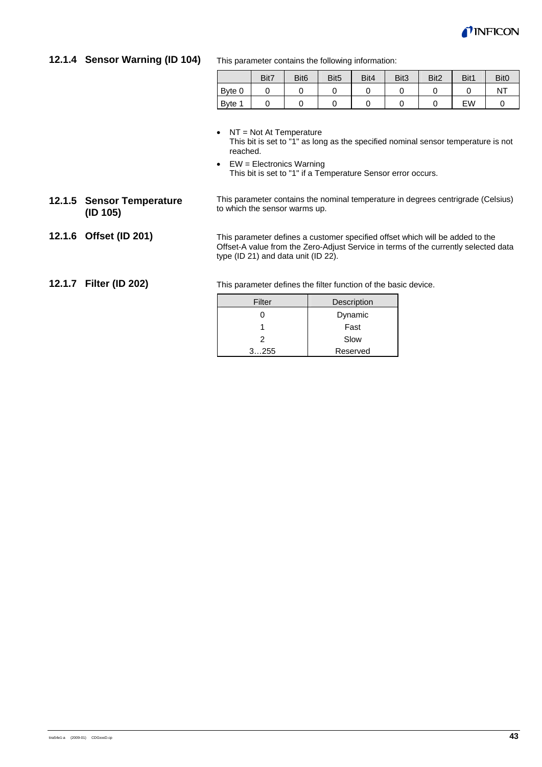

# **12.1.4 Sensor Warning (ID 104)**

This parameter contains the following information:

|        | Bit7 | Bit <sub>6</sub> | Bit <sub>5</sub> | Bit4 | Bit <sub>3</sub> | Bit <sub>2</sub> | Bit1 | Bit <sub>0</sub> |
|--------|------|------------------|------------------|------|------------------|------------------|------|------------------|
| Byte 0 |      |                  |                  |      |                  |                  | ◡    | NT               |
| Byte 1 |      |                  |                  |      |                  | ັ                | EW   |                  |

- NT = Not At Temperature This bit is set to "1" as long as the specified nominal sensor temperature is not reached.
- $\bullet$  EW = Electronics Warning This bit is set to "1" if a Temperature Sensor error occurs.
- **12.1.5 Sensor Temperature (ID 105)**

This parameter contains the nominal temperature in degrees centrigrade (Celsius) to which the sensor warms up.

**12.1.6 Offset (ID 201)** 

This parameter defines a customer specified offset which will be added to the Offset-A value from the Zero-Adjust Service in terms of the currently selected data type (ID 21) and data unit (ID 22).

#### **12.1.7 Filter (ID 202)**

This parameter defines the filter function of the basic device.

| Filter | Description |
|--------|-------------|
|        | Dynamic     |
|        | Fast        |
| 2      | Slow        |
| 3255   | Reserved    |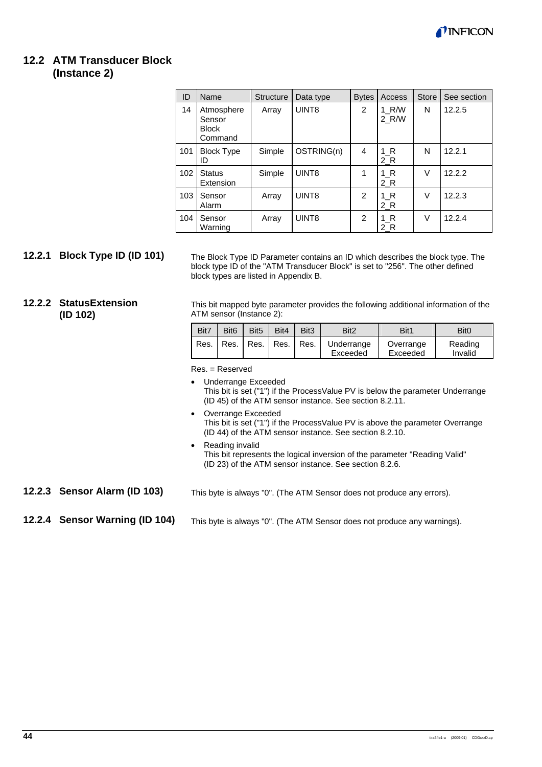

# **12.2 ATM Transducer Block**

# **(Instance 2)**

| ID  | Name                                            | <b>Structure</b> | Data type         | <b>Bytes</b>   | Access         | <b>Store</b> | See section |
|-----|-------------------------------------------------|------------------|-------------------|----------------|----------------|--------------|-------------|
| 14  | Atmosphere<br>Sensor<br><b>Block</b><br>Command | Array            | UINT <sub>8</sub> | $\overline{2}$ | 1 R/W<br>2 R/W | N            | 12.2.5      |
| 101 | <b>Block Type</b><br>ID                         | Simple           | OSTRING(n)        | 4              | 1 R<br>2 R     | N            | 12.2.1      |
| 102 | <b>Status</b><br>Extension                      | Simple           | UINT <sub>8</sub> | 1              | $1_R$<br>$2_R$ | V            | 12.2.2      |
| 103 | Sensor<br>Alarm                                 | Array            | UINT8             | 2              | 1 R<br>$2_R$   | V            | 12.2.3      |
| 104 | Sensor<br>Warning                               | Array            | UINT8             | 2              | 1 R<br>2 R     | V            | 12.2.4      |

### **12.2.1 Block Type ID (ID 101)**

The Block Type ID Parameter contains an ID which describes the block type. The block type ID of the "ATM Transducer Block" is set to "256". The other defined block types are listed in Appendix B.

#### **12.2.2 StatusExtension (ID 102)**

This bit mapped byte parameter provides the following additional information of the ATM sensor (Instance 2):

| Bit7   | Bit <sub>6</sub> | Bit <sub>5</sub>          | Bit4 | Bit <sub>3</sub> | Bit <sub>2</sub>       | Bit1                  | Bit <sub>0</sub>   |
|--------|------------------|---------------------------|------|------------------|------------------------|-----------------------|--------------------|
| Res. I |                  | Res.   Res.   Res.   Res. |      |                  | Underrange<br>Exceeded | Overrange<br>Exceeded | Reading<br>Invalid |

Res. = Reserved

• Underrange Exceeded This bit is set ("1") if the ProcessValue PV is below the parameter Underrange (ID 45) of the ATM sensor instance. See section 8.2.11.

- Overrange Exceeded This bit is set ("1") if the ProcessValue PV is above the parameter Overrange (ID 44) of the ATM sensor instance. See section 8.2.10.
- Reading invalid This bit represents the logical inversion of the parameter "Reading Valid" (ID 23) of the ATM sensor instance. See section 8.2.6.
- **12.2.3 Sensor Alarm (ID 103)**
- This byte is always "0". (The ATM Sensor does not produce any errors).

#### **12.2.4 Sensor Warning (ID 104)**

This byte is always "0". (The ATM Sensor does not produce any warnings).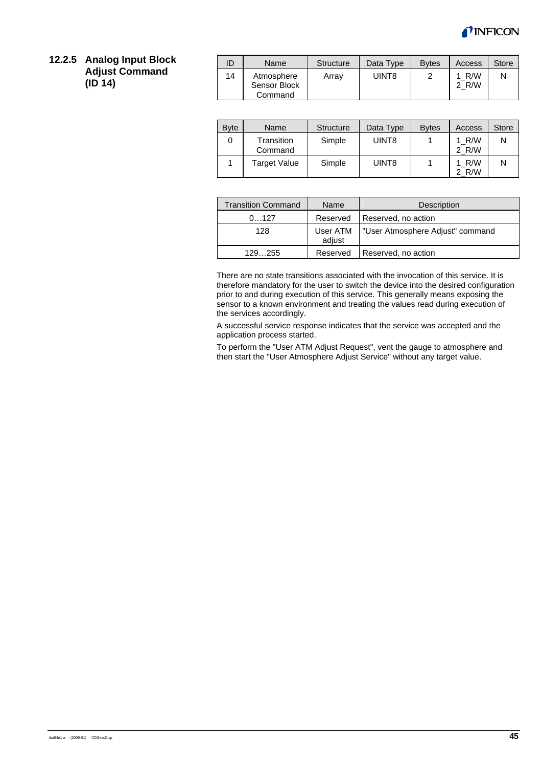

#### **12.2.5 Analog Input Block Adjust Command (ID 14)**

| ID | Name                                  | Structure | Data Type | <b>B</b> vtes | Access         | Store |
|----|---------------------------------------|-----------|-----------|---------------|----------------|-------|
| 14 | Atmosphere<br>Sensor Block<br>Command | Array     | UINT8     |               | 1 R/W<br>2 R/W |       |

| <b>Byte</b> | Name                  | <b>Structure</b> | Data Type | <b>Bytes</b> | Access         | <b>Store</b> |
|-------------|-----------------------|------------------|-----------|--------------|----------------|--------------|
| 0           | Transition<br>Command | Simple           | UINT8     |              | 1 R/W<br>2 R/W | N            |
|             | Target Value          | Simple           | UINT8     |              | 1 R/W<br>2 R/W | N            |

| <b>Transition Command</b> | Name               | <b>Description</b>               |
|---------------------------|--------------------|----------------------------------|
| 0127                      | Reserved           | Reserved, no action              |
| 128                       | User ATM<br>adjust | "User Atmosphere Adjust" command |
| 129255                    | Reserved           | Reserved, no action              |

There are no state transitions associated with the invocation of this service. It is therefore mandatory for the user to switch the device into the desired configuration prior to and during execution of this service. This generally means exposing the sensor to a known environment and treating the values read during execution of the services accordingly.

A successful service response indicates that the service was accepted and the application process started.

To perform the "User ATM Adjust Request", vent the gauge to atmosphere and then start the "User Atmosphere Adjust Service" without any target value.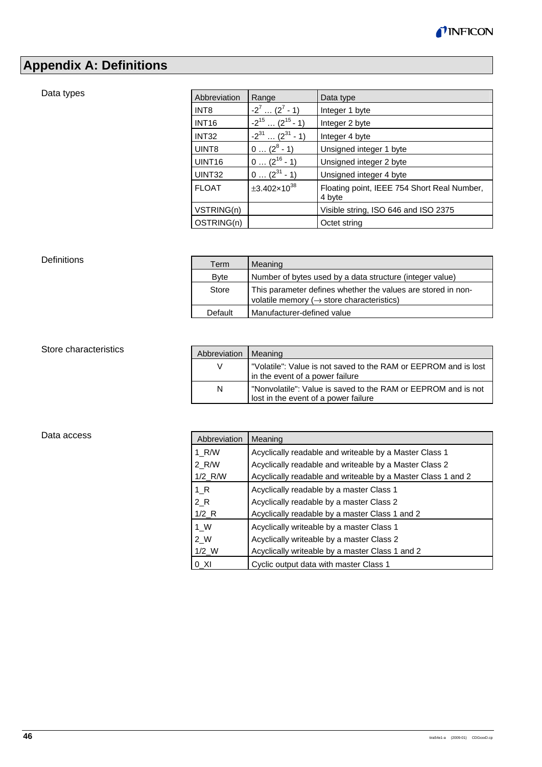

# **Appendix A: Definitions**

#### Data types

| Abbreviation       | Range                           | Data type                                             |
|--------------------|---------------------------------|-------------------------------------------------------|
| INT <sub>8</sub>   | $-2^7$ $(2^7 - 1)$              | Integer 1 byte                                        |
| <b>INT16</b>       | $-2^{15}$ (2 <sup>15</sup> - 1) | Integer 2 byte                                        |
| <b>INT32</b>       | $-2^{31}$ $(2^{31} - 1)$        | Integer 4 byte                                        |
| UINT <sub>8</sub>  | $0 (2^8 - 1)$                   | Unsigned integer 1 byte                               |
| UINT <sub>16</sub> | $0 (2^{16} - 1)$                | Unsigned integer 2 byte                               |
| UINT32             | $0 (2^{31} - 1)$                | Unsigned integer 4 byte                               |
| <b>FLOAT</b>       | $\pm 3.402 \times 10^{38}$      | Floating point, IEEE 754 Short Real Number,<br>4 byte |
| VSTRING(n)         |                                 | Visible string, ISO 646 and ISO 2375                  |
| OSTRING(n)         |                                 | Octet string                                          |

#### **Definitions**

| Term        | Meaning                                                                                                                |
|-------------|------------------------------------------------------------------------------------------------------------------------|
| <b>Byte</b> | Number of bytes used by a data structure (integer value)                                                               |
| Store       | This parameter defines whether the values are stored in non-<br>volatile memory ( $\rightarrow$ store characteristics) |
| Default     | Manufacturer-defined value                                                                                             |

### Store characteristics

| Abbreviation | Meaning                                                                                               |
|--------------|-------------------------------------------------------------------------------------------------------|
|              | "Volatile": Value is not saved to the RAM or EEPROM and is lost<br>in the event of a power failure    |
| N            | "Nonvolatile": Value is saved to the RAM or EEPROM and is not<br>lost in the event of a power failure |

#### Data access

| Abbreviation          | Meaning                                                      |
|-----------------------|--------------------------------------------------------------|
| 1 R/W                 | Acyclically readable and writeable by a Master Class 1       |
| 2 R/W                 | Acyclically readable and writeable by a Master Class 2       |
| $1/2$ <sub>R</sub> /W | Acyclically readable and writeable by a Master Class 1 and 2 |
| 1 R                   | Acyclically readable by a master Class 1                     |
| 2 R                   | Acyclically readable by a master Class 2                     |
| $1/2$ <sub>R</sub>    | Acyclically readable by a master Class 1 and 2               |
| 1 W                   | Acyclically writeable by a master Class 1                    |
| 2 W                   | Acyclically writeable by a master Class 2                    |
| $1/2$ W               | Acyclically writeable by a master Class 1 and 2              |
| 0 XI                  | Cyclic output data with master Class 1                       |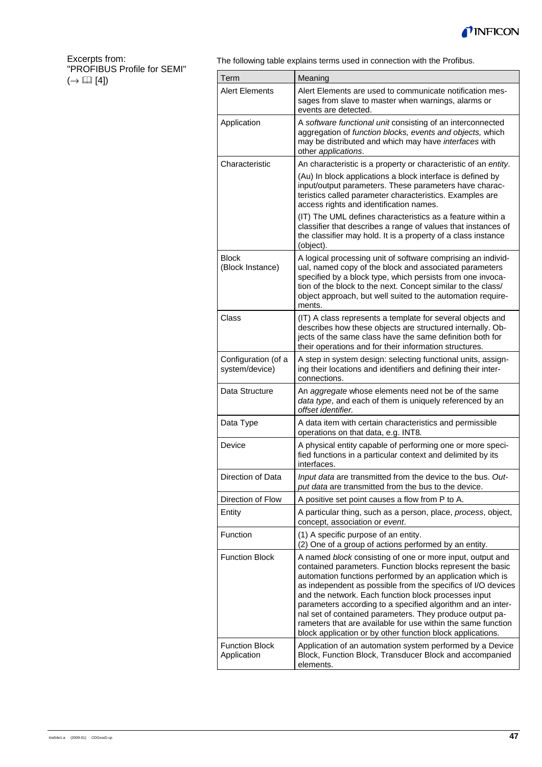

#### Excerpts from: "PROFIBUS Profile for SEMI"  $(\rightarrow \Box \Box$  [4])

The following table explains terms used in connection with the Profibus.

| Term                                  | Meaning                                                                                                                                                                                                                                                                                                                                                                                                                                                                                                                                                              |
|---------------------------------------|----------------------------------------------------------------------------------------------------------------------------------------------------------------------------------------------------------------------------------------------------------------------------------------------------------------------------------------------------------------------------------------------------------------------------------------------------------------------------------------------------------------------------------------------------------------------|
| <b>Alert Elements</b>                 | Alert Elements are used to communicate notification mes-<br>sages from slave to master when warnings, alarms or<br>events are detected.                                                                                                                                                                                                                                                                                                                                                                                                                              |
| Application                           | A software functional unit consisting of an interconnected<br>aggregation of function blocks, events and objects, which<br>may be distributed and which may have interfaces with<br>other applications.                                                                                                                                                                                                                                                                                                                                                              |
| Characteristic                        | An characteristic is a property or characteristic of an entity.                                                                                                                                                                                                                                                                                                                                                                                                                                                                                                      |
|                                       | (Au) In block applications a block interface is defined by<br>input/output parameters. These parameters have charac-<br>teristics called parameter characteristics. Examples are<br>access rights and identification names.                                                                                                                                                                                                                                                                                                                                          |
|                                       | (IT) The UML defines characteristics as a feature within a<br>classifier that describes a range of values that instances of<br>the classifier may hold. It is a property of a class instance<br>(object).                                                                                                                                                                                                                                                                                                                                                            |
| <b>Block</b><br>(Block Instance)      | A logical processing unit of software comprising an individ-<br>ual, named copy of the block and associated parameters<br>specified by a block type, which persists from one invoca-<br>tion of the block to the next. Concept similar to the class/<br>object approach, but well suited to the automation require-<br>ments.                                                                                                                                                                                                                                        |
| Class                                 | (IT) A class represents a template for several objects and<br>describes how these objects are structured internally. Ob-<br>jects of the same class have the same definition both for<br>their operations and for their information structures.                                                                                                                                                                                                                                                                                                                      |
| Configuration (of a<br>system/device) | A step in system design: selecting functional units, assign-<br>ing their locations and identifiers and defining their inter-<br>connections.                                                                                                                                                                                                                                                                                                                                                                                                                        |
| Data Structure                        | An aggregate whose elements need not be of the same<br>data type, and each of them is uniquely referenced by an<br>offset identifier.                                                                                                                                                                                                                                                                                                                                                                                                                                |
| Data Type                             | A data item with certain characteristics and permissible<br>operations on that data, e.g. INT8.                                                                                                                                                                                                                                                                                                                                                                                                                                                                      |
| Device                                | A physical entity capable of performing one or more speci-<br>fied functions in a particular context and delimited by its<br>interfaces.                                                                                                                                                                                                                                                                                                                                                                                                                             |
| Direction of Data                     | Input data are transmitted from the device to the bus. Out-<br>put data are transmitted from the bus to the device.                                                                                                                                                                                                                                                                                                                                                                                                                                                  |
| Direction of Flow                     | A positive set point causes a flow from P to A.                                                                                                                                                                                                                                                                                                                                                                                                                                                                                                                      |
| Entity                                | A particular thing, such as a person, place, process, object,<br>concept, association or event.                                                                                                                                                                                                                                                                                                                                                                                                                                                                      |
| Function                              | (1) A specific purpose of an entity.<br>(2) One of a group of actions performed by an entity.                                                                                                                                                                                                                                                                                                                                                                                                                                                                        |
| <b>Function Block</b>                 | A named block consisting of one or more input, output and<br>contained parameters. Function blocks represent the basic<br>automation functions performed by an application which is<br>as independent as possible from the specifics of I/O devices<br>and the network. Each function block processes input<br>parameters according to a specified algorithm and an inter-<br>nal set of contained parameters. They produce output pa-<br>rameters that are available for use within the same function<br>block application or by other function block applications. |
| <b>Function Block</b><br>Application  | Application of an automation system performed by a Device<br>Block, Function Block, Transducer Block and accompanied<br>elements.                                                                                                                                                                                                                                                                                                                                                                                                                                    |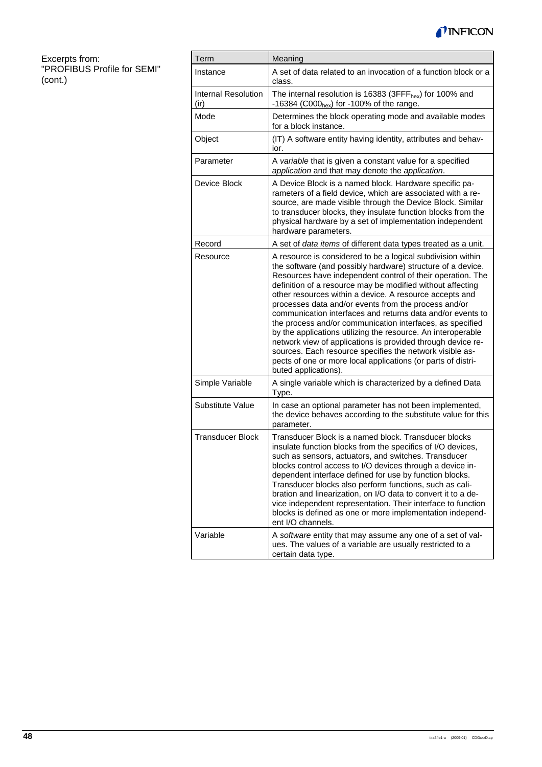

Excerpts from: "PROFIBUS Profile for SEMI" (cont.)

| Term                               | Meaning                                                                                                                                                                                                                                                                                                                                                                                                                                                                                                                                                                                                                                                                                                                                                                                 |
|------------------------------------|-----------------------------------------------------------------------------------------------------------------------------------------------------------------------------------------------------------------------------------------------------------------------------------------------------------------------------------------------------------------------------------------------------------------------------------------------------------------------------------------------------------------------------------------------------------------------------------------------------------------------------------------------------------------------------------------------------------------------------------------------------------------------------------------|
| Instance                           | A set of data related to an invocation of a function block or a<br>class.                                                                                                                                                                                                                                                                                                                                                                                                                                                                                                                                                                                                                                                                                                               |
| <b>Internal Resolution</b><br>(ir) | The internal resolution is 16383 (3FFF $_{hex}$ ) for 100% and<br>-16384 (C000 <sub>hex</sub> ) for -100% of the range.                                                                                                                                                                                                                                                                                                                                                                                                                                                                                                                                                                                                                                                                 |
| Mode                               | Determines the block operating mode and available modes<br>for a block instance.                                                                                                                                                                                                                                                                                                                                                                                                                                                                                                                                                                                                                                                                                                        |
| Object                             | (IT) A software entity having identity, attributes and behav-<br>ior.                                                                                                                                                                                                                                                                                                                                                                                                                                                                                                                                                                                                                                                                                                                   |
| Parameter                          | A variable that is given a constant value for a specified<br>application and that may denote the application.                                                                                                                                                                                                                                                                                                                                                                                                                                                                                                                                                                                                                                                                           |
| Device Block                       | A Device Block is a named block. Hardware specific pa-<br>rameters of a field device, which are associated with a re-<br>source, are made visible through the Device Block. Similar<br>to transducer blocks, they insulate function blocks from the<br>physical hardware by a set of implementation independent<br>hardware parameters.                                                                                                                                                                                                                                                                                                                                                                                                                                                 |
| Record                             | A set of data items of different data types treated as a unit.                                                                                                                                                                                                                                                                                                                                                                                                                                                                                                                                                                                                                                                                                                                          |
| Resource                           | A resource is considered to be a logical subdivision within<br>the software (and possibly hardware) structure of a device.<br>Resources have independent control of their operation. The<br>definition of a resource may be modified without affecting<br>other resources within a device. A resource accepts and<br>processes data and/or events from the process and/or<br>communication interfaces and returns data and/or events to<br>the process and/or communication interfaces, as specified<br>by the applications utilizing the resource. An interoperable<br>network view of applications is provided through device re-<br>sources. Each resource specifies the network visible as-<br>pects of one or more local applications (or parts of distri-<br>buted applications). |
| Simple Variable                    | A single variable which is characterized by a defined Data<br>Type.                                                                                                                                                                                                                                                                                                                                                                                                                                                                                                                                                                                                                                                                                                                     |
| Substitute Value                   | In case an optional parameter has not been implemented,<br>the device behaves according to the substitute value for this<br>parameter.                                                                                                                                                                                                                                                                                                                                                                                                                                                                                                                                                                                                                                                  |
| <b>Transducer Block</b>            | Transducer Block is a named block. Transducer blocks<br>insulate function blocks from the specifics of I/O devices,<br>such as sensors, actuators, and switches. Transducer<br>blocks control access to I/O devices through a device in-<br>dependent interface defined for use by function blocks.<br>Transducer blocks also perform functions, such as cali-<br>bration and linearization, on I/O data to convert it to a de-<br>vice independent representation. Their interface to function<br>blocks is defined as one or more implementation independ-<br>ent I/O channels.                                                                                                                                                                                                       |
| Variable                           | A software entity that may assume any one of a set of val-<br>ues. The values of a variable are usually restricted to a<br>certain data type.                                                                                                                                                                                                                                                                                                                                                                                                                                                                                                                                                                                                                                           |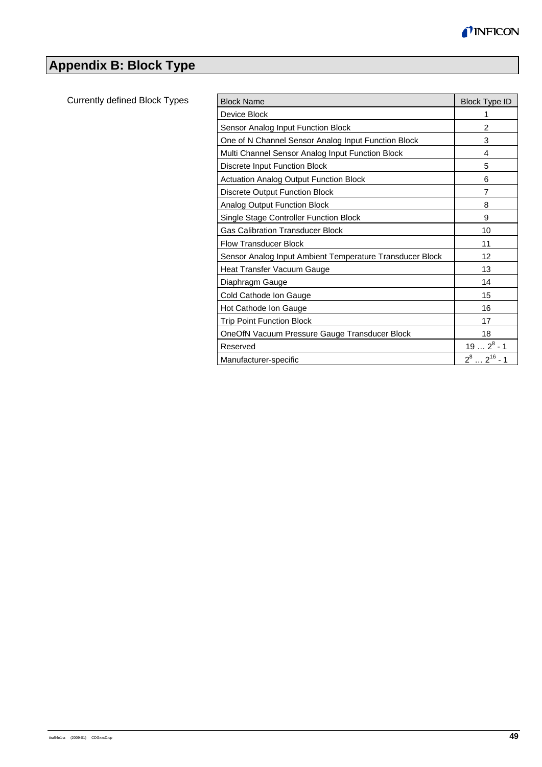

# **Appendix B: Block Type**

Currently defined Block Types

| <b>Block Name</b>                                        | <b>Block Type ID</b> |
|----------------------------------------------------------|----------------------|
| Device Block                                             | 1                    |
| Sensor Analog Input Function Block                       | $\overline{2}$       |
| One of N Channel Sensor Analog Input Function Block      | 3                    |
| Multi Channel Sensor Analog Input Function Block         | 4                    |
| Discrete Input Function Block                            | 5                    |
| <b>Actuation Analog Output Function Block</b>            | 6                    |
| Discrete Output Function Block                           | 7                    |
| Analog Output Function Block                             | 8                    |
| Single Stage Controller Function Block                   | 9                    |
| <b>Gas Calibration Transducer Block</b>                  | 10                   |
| <b>Flow Transducer Block</b>                             | 11                   |
| Sensor Analog Input Ambient Temperature Transducer Block | 12                   |
| Heat Transfer Vacuum Gauge                               | 13                   |
| Diaphragm Gauge                                          | 14                   |
| Cold Cathode Ion Gauge                                   | 15                   |
| Hot Cathode Ion Gauge                                    | 16                   |
| <b>Trip Point Function Block</b>                         | 17                   |
| OneOfN Vacuum Pressure Gauge Transducer Block            | 18                   |
| Reserved                                                 | $192^8 - 1$          |
| Manufacturer-specific                                    | $2^82^{16}$ - 1      |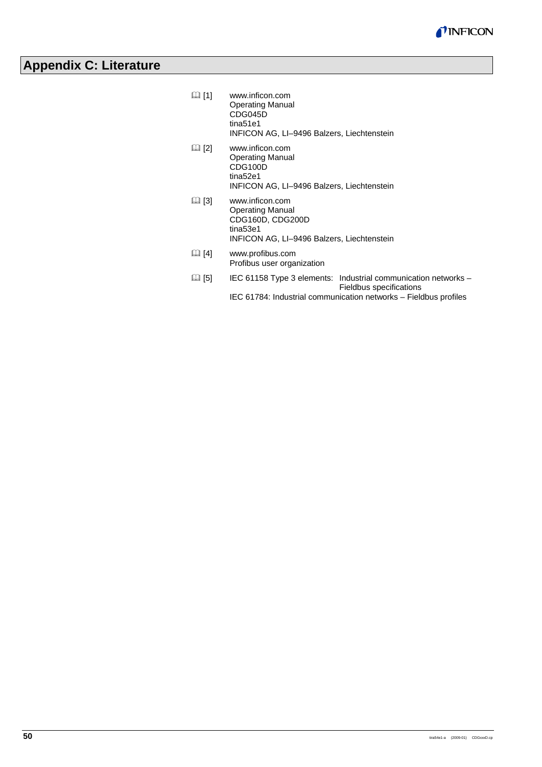

# **Appendix C: Literature**

| $\boxtimes$ [1] | www.inficon.com<br><b>Operating Manual</b>                        |
|-----------------|-------------------------------------------------------------------|
|                 | CDG045D<br>tina51e1<br>INFICON AG, LI-9496 Balzers, Liechtenstein |
|                 |                                                                   |

- [2] www.inficon.com Operating Manual CDG100D tina52e1 INFICON AG, LI–9496 Balzers, Liechtenstein
- [3] www.inficon.com Operating Manual CDG160D, CDG200D tina53e1 INFICON AG, LI–9496 Balzers, Liechtenstein
- [4] www.profibus.com Profibus user organization
- [5] IEC 61158 Type 3 elements: Industrial communication networks Fieldbus specifications
	- IEC 61784: Industrial communication networks Fieldbus profiles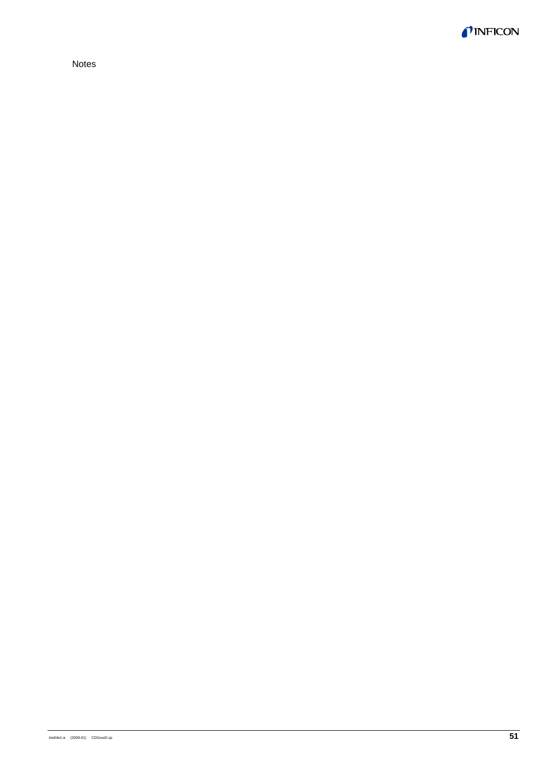

Notes